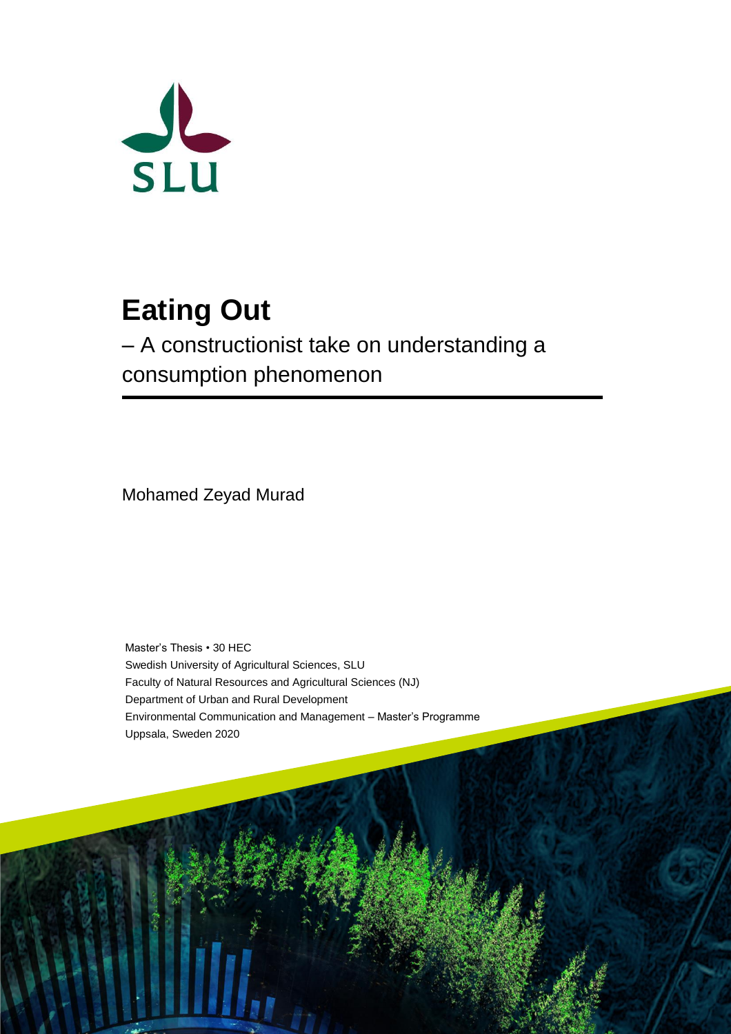

# **Eating Out**

– A constructionist take on understanding a consumption phenomenon

Mohamed Zeyad Murad

Master's Thesis • 30 HEC Swedish University of Agricultural Sciences, SLU Faculty of Natural Resources and Agricultural Sciences (NJ) Department of Urban and Rural Development Environmental Communication and Management – Master's Programme Uppsala, Sweden 2020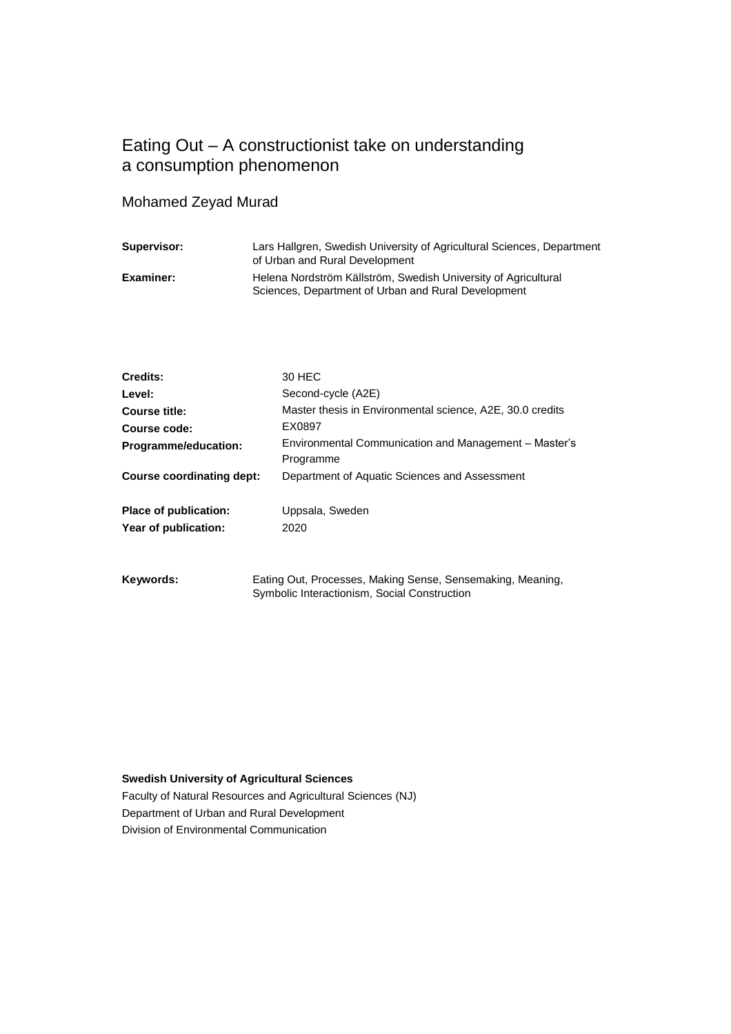## Eating Out – A constructionist take on understanding a consumption phenomenon

## Mohamed Zeyad Murad

| Supervisor: | Lars Hallgren, Swedish University of Agricultural Sciences, Department<br>of Urban and Rural Development              |
|-------------|-----------------------------------------------------------------------------------------------------------------------|
| Examiner:   | Helena Nordström Källström, Swedish University of Agricultural<br>Sciences, Department of Urban and Rural Development |

| Credits:                         | 30 HEC                                                    |
|----------------------------------|-----------------------------------------------------------|
| Level:                           | Second-cycle (A2E)                                        |
| Course title:                    | Master thesis in Environmental science, A2E, 30.0 credits |
| Course code:                     | EX0897                                                    |
| Programme/education:             | Environmental Communication and Management - Master's     |
|                                  | Programme                                                 |
| <b>Course coordinating dept:</b> | Department of Aquatic Sciences and Assessment             |
| Place of publication:            | Uppsala, Sweden                                           |
| Year of publication:             | 2020                                                      |
|                                  |                                                           |
|                                  |                                                           |

**Keywords:** Eating Out, Processes, Making Sense, Sensemaking, Meaning, Symbolic Interactionism, Social Construction

#### **Swedish University of Agricultural Sciences**

Faculty of Natural Resources and Agricultural Sciences (NJ) Department of Urban and Rural Development Division of Environmental Communication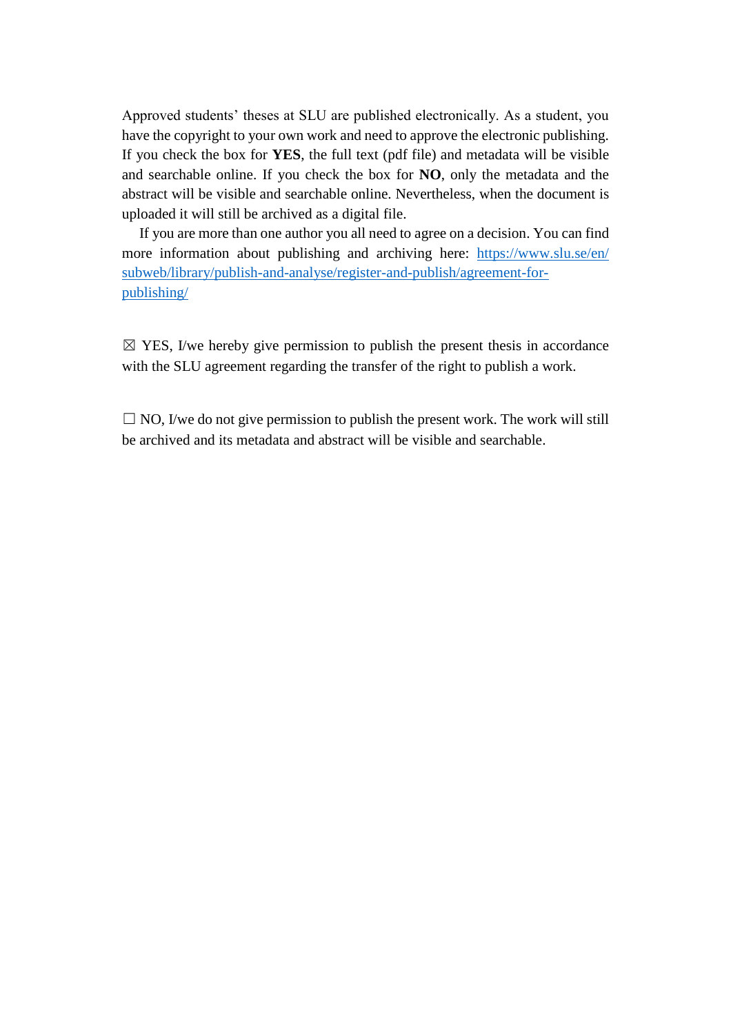Approved students' theses at SLU are published electronically. As a student, you have the copyright to your own work and need to approve the electronic publishing. If you check the box for **YES**, the full text (pdf file) and metadata will be visible and searchable online. If you check the box for **NO**, only the metadata and the abstract will be visible and searchable online. Nevertheless, when the document is uploaded it will still be archived as a digital file.

If you are more than one author you all need to agree on a decision. You can find more information about publishing and archiving here: [https://www.slu.se/en/](https://www.slu.se/en/%20subweb/library/publish-and-analyse/register-and-publish/agreement-for-publishing/)  [subweb/library/publish-and-analyse/register-and-publish/agreement-for](https://www.slu.se/en/%20subweb/library/publish-and-analyse/register-and-publish/agreement-for-publishing/)[publishing/](https://www.slu.se/en/%20subweb/library/publish-and-analyse/register-and-publish/agreement-for-publishing/)

 $\boxtimes$  YES, I/we hereby give permission to publish the present thesis in accordance with the SLU agreement regarding the transfer of the right to publish a work.

 $\Box$  NO, I/we do not give permission to publish the present work. The work will still be archived and its metadata and abstract will be visible and searchable.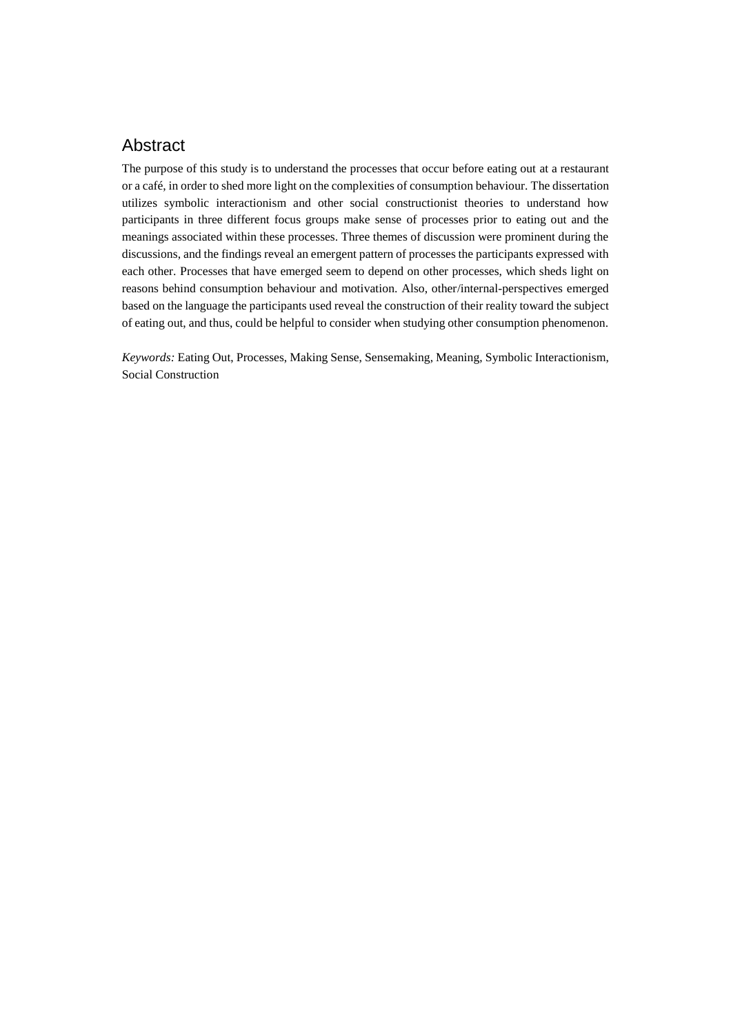## Abstract

The purpose of this study is to understand the processes that occur before eating out at a restaurant or a café, in order to shed more light on the complexities of consumption behaviour. The dissertation utilizes symbolic interactionism and other social constructionist theories to understand how participants in three different focus groups make sense of processes prior to eating out and the meanings associated within these processes. Three themes of discussion were prominent during the discussions, and the findings reveal an emergent pattern of processes the participants expressed with each other. Processes that have emerged seem to depend on other processes, which sheds light on reasons behind consumption behaviour and motivation. Also, other/internal-perspectives emerged based on the language the participants used reveal the construction of their reality toward the subject of eating out, and thus, could be helpful to consider when studying other consumption phenomenon.

*Keywords:* Eating Out, Processes, Making Sense, Sensemaking, Meaning, Symbolic Interactionism, Social Construction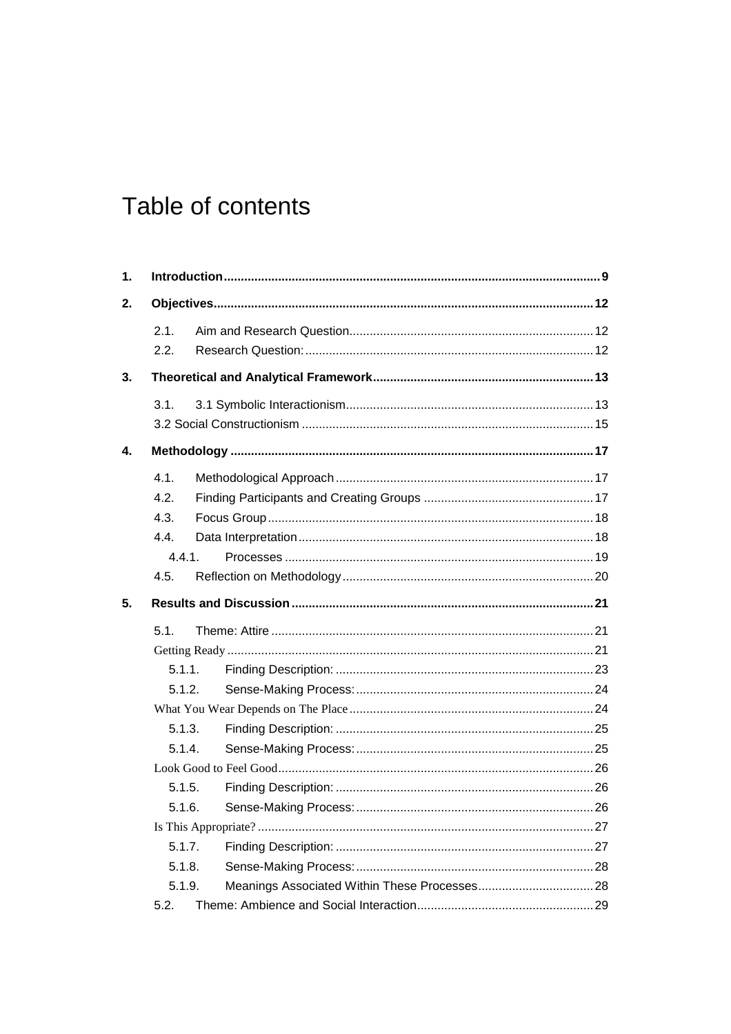## Table of contents

| 1. |        |        |  |
|----|--------|--------|--|
| 2. |        |        |  |
|    | 2.1.   |        |  |
|    | 2.2.   |        |  |
| 3. |        |        |  |
|    | 3.1.   |        |  |
|    |        |        |  |
| 4. |        |        |  |
|    | 4.1.   |        |  |
|    | 4.2.   |        |  |
|    | 4.3.   |        |  |
|    | 4.4.   |        |  |
|    | 4.4.1. |        |  |
|    | 4.5.   |        |  |
| 5. |        |        |  |
|    | 5.1.   |        |  |
|    |        |        |  |
|    | 5.1.1. |        |  |
|    | 5.1.2. |        |  |
|    |        |        |  |
|    | 5.1.3. |        |  |
|    | 5.1.4. |        |  |
|    |        |        |  |
|    | 5.1.5. |        |  |
|    | 5.1.6. |        |  |
|    |        |        |  |
|    |        | 5.1.7. |  |
|    | 5.1.8. |        |  |
|    | 5.1.9. |        |  |
|    | 5.2.   |        |  |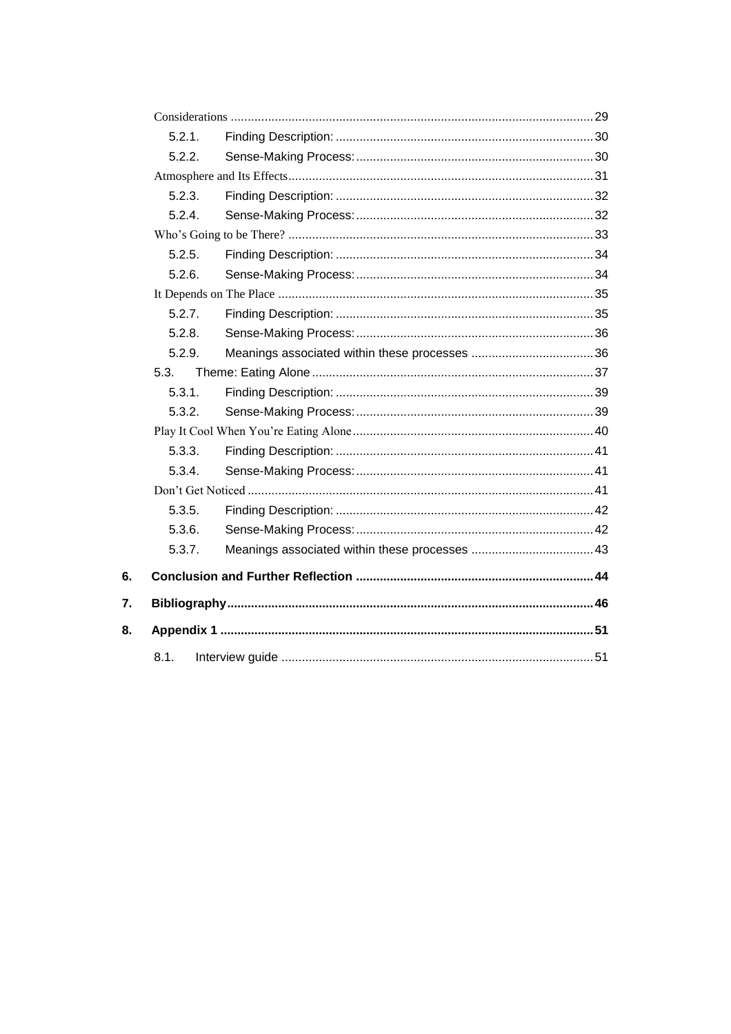|    | 5.2.1  |  |  |
|----|--------|--|--|
|    | 5.2.2. |  |  |
|    |        |  |  |
|    | 5.2.3. |  |  |
|    | 5.2.4. |  |  |
|    |        |  |  |
|    | 5.2.5. |  |  |
|    | 5.2.6. |  |  |
|    |        |  |  |
|    | 5.2.7. |  |  |
|    | 5.2.8. |  |  |
|    | 5.2.9. |  |  |
|    | 5.3.   |  |  |
|    | 5.3.1. |  |  |
|    | 5.3.2. |  |  |
|    |        |  |  |
|    | 5.3.3. |  |  |
|    | 5.3.4. |  |  |
|    |        |  |  |
|    | 5.3.5. |  |  |
|    | 5.3.6. |  |  |
|    | 5.3.7. |  |  |
| 6. |        |  |  |
| 7. |        |  |  |
| 8. |        |  |  |
|    | 8.1.   |  |  |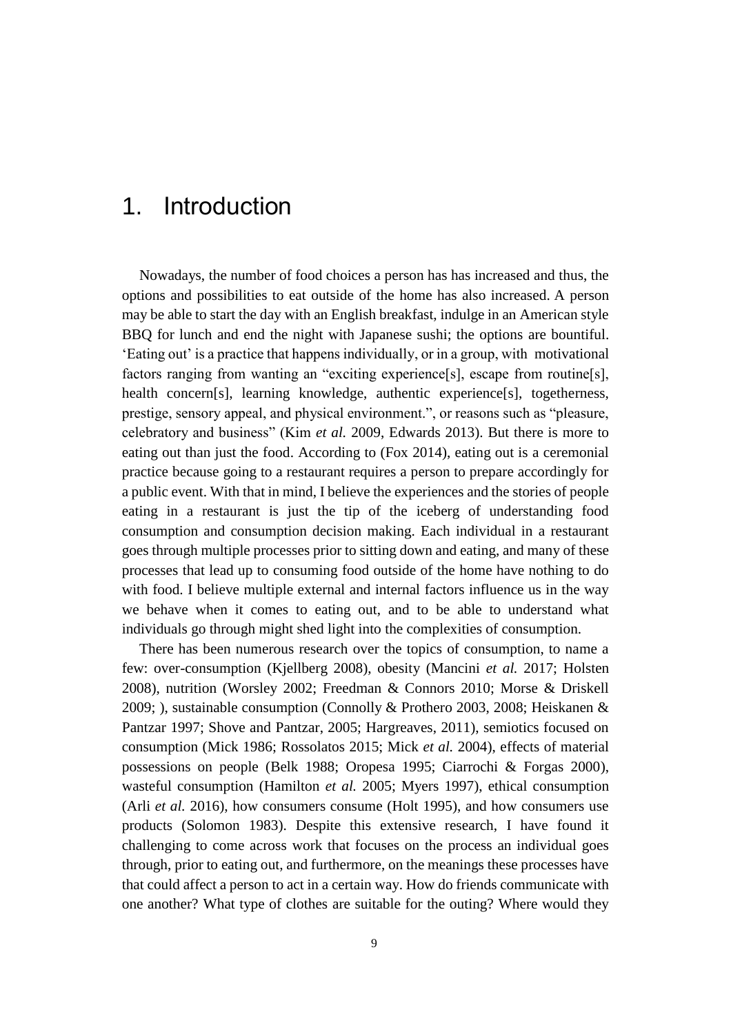## <span id="page-8-0"></span>1. Introduction

Nowadays, the number of food choices a person has has increased and thus, the options and possibilities to eat outside of the home has also increased. A person may be able to start the day with an English breakfast, indulge in an American style BBQ for lunch and end the night with Japanese sushi; the options are bountiful. 'Eating out' is a practice that happens individually, or in a group, with motivational factors ranging from wanting an "exciting experience[s], escape from routine[s], health concern[s], learning knowledge, authentic experience[s], togetherness, prestige, sensory appeal, and physical environment.", or reasons such as "pleasure, celebratory and business" (Kim *et al.* 2009, Edwards 2013). But there is more to eating out than just the food. According to (Fox 2014), eating out is a ceremonial practice because going to a restaurant requires a person to prepare accordingly for a public event. With that in mind, I believe the experiences and the stories of people eating in a restaurant is just the tip of the iceberg of understanding food consumption and consumption decision making. Each individual in a restaurant goes through multiple processes prior to sitting down and eating, and many of these processes that lead up to consuming food outside of the home have nothing to do with food. I believe multiple external and internal factors influence us in the way we behave when it comes to eating out, and to be able to understand what individuals go through might shed light into the complexities of consumption.

There has been numerous research over the topics of consumption, to name a few: over-consumption (Kjellberg 2008), obesity (Mancini *et al.* 2017; Holsten 2008), nutrition (Worsley 2002; Freedman & Connors 2010; Morse & Driskell 2009; ), sustainable consumption (Connolly & Prothero 2003, 2008; Heiskanen & Pantzar 1997; Shove and Pantzar, 2005; Hargreaves, 2011), semiotics focused on consumption (Mick 1986; Rossolatos 2015; Mick *et al.* 2004), effects of material possessions on people (Belk 1988; Oropesa 1995; Ciarrochi & Forgas 2000), wasteful consumption (Hamilton *et al.* 2005; Myers 1997), ethical consumption (Arli *et al.* 2016), how consumers consume (Holt 1995), and how consumers use products (Solomon 1983). Despite this extensive research, I have found it challenging to come across work that focuses on the process an individual goes through, prior to eating out, and furthermore, on the meanings these processes have that could affect a person to act in a certain way. How do friends communicate with one another? What type of clothes are suitable for the outing? Where would they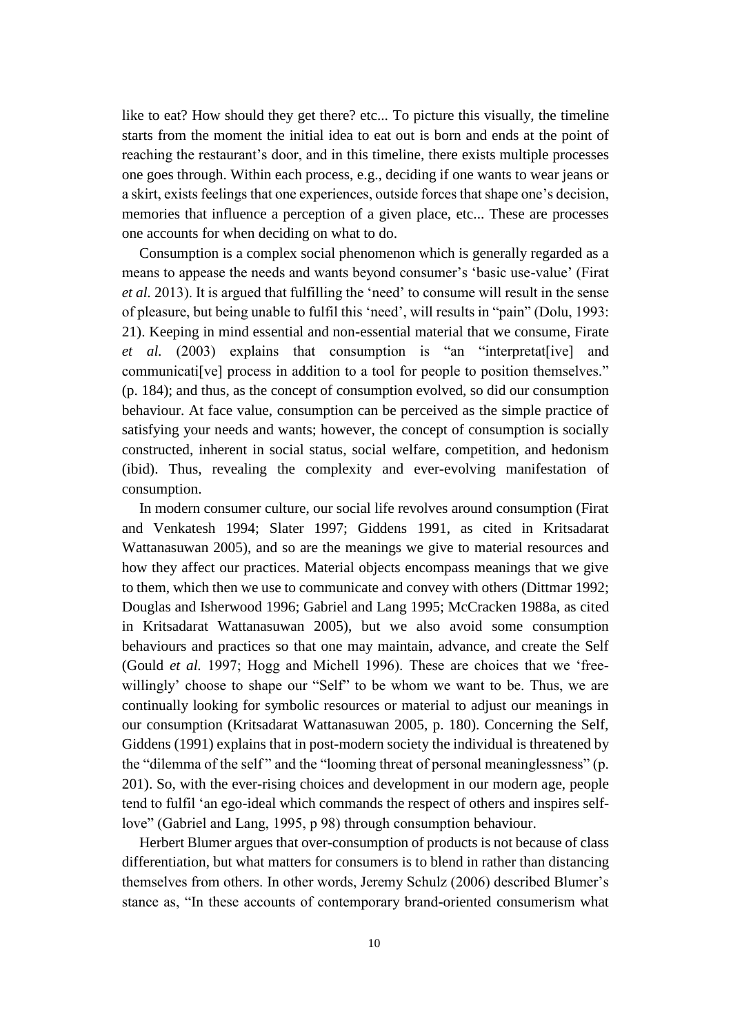like to eat? How should they get there? etc... To picture this visually, the timeline starts from the moment the initial idea to eat out is born and ends at the point of reaching the restaurant's door, and in this timeline, there exists multiple processes one goes through. Within each process, e.g., deciding if one wants to wear jeans or a skirt, exists feelings that one experiences, outside forces that shape one's decision, memories that influence a perception of a given place, etc... These are processes one accounts for when deciding on what to do.

Consumption is a complex social phenomenon which is generally regarded as a means to appease the needs and wants beyond consumer's 'basic use-value' (Firat *et al.* 2013). It is argued that fulfilling the 'need' to consume will result in the sense of pleasure, but being unable to fulfil this 'need', will results in "pain" (Dolu, 1993: 21). Keeping in mind essential and non-essential material that we consume, Firate *et al.* (2003) explains that consumption is "an "interpretat[ive] and communicati[ve] process in addition to a tool for people to position themselves." (p. 184); and thus, as the concept of consumption evolved, so did our consumption behaviour. At face value, consumption can be perceived as the simple practice of satisfying your needs and wants; however, the concept of consumption is socially constructed, inherent in social status, social welfare, competition, and hedonism (ibid). Thus, revealing the complexity and ever-evolving manifestation of consumption.

In modern consumer culture, our social life revolves around consumption (Firat and Venkatesh 1994; Slater 1997; Giddens 1991, as cited in Kritsadarat Wattanasuwan 2005), and so are the meanings we give to material resources and how they affect our practices. Material objects encompass meanings that we give to them, which then we use to communicate and convey with others (Dittmar 1992; Douglas and Isherwood 1996; Gabriel and Lang 1995; McCracken 1988a, as cited in Kritsadarat Wattanasuwan 2005), but we also avoid some consumption behaviours and practices so that one may maintain, advance, and create the Self (Gould *et al.* 1997; Hogg and Michell 1996). These are choices that we 'freewillingly' choose to shape our "Self" to be whom we want to be. Thus, we are continually looking for symbolic resources or material to adjust our meanings in our consumption (Kritsadarat Wattanasuwan 2005, p. 180). Concerning the Self, Giddens (1991) explains that in post-modern society the individual is threatened by the "dilemma of the self" and the "looming threat of personal meaninglessness" (p. 201). So, with the ever-rising choices and development in our modern age, people tend to fulfil 'an ego-ideal which commands the respect of others and inspires selflove" (Gabriel and Lang, 1995, p 98) through consumption behaviour.

Herbert Blumer argues that over-consumption of products is not because of class differentiation, but what matters for consumers is to blend in rather than distancing themselves from others. In other words, Jeremy Schulz (2006) described Blumer's stance as, "In these accounts of contemporary brand-oriented consumerism what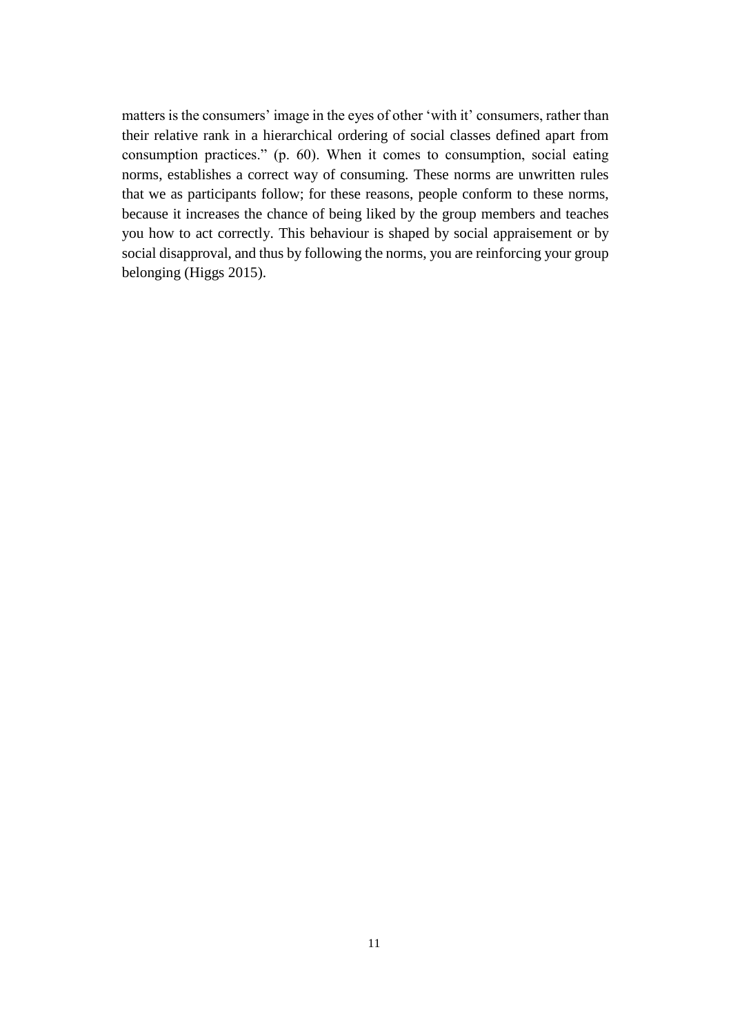matters is the consumers' image in the eyes of other 'with it' consumers, rather than their relative rank in a hierarchical ordering of social classes defined apart from consumption practices." (p. 60). When it comes to consumption, social eating norms, establishes a correct way of consuming. These norms are unwritten rules that we as participants follow; for these reasons, people conform to these norms, because it increases the chance of being liked by the group members and teaches you how to act correctly. This behaviour is shaped by social appraisement or by social disapproval, and thus by following the norms, you are reinforcing your group belonging (Higgs 2015).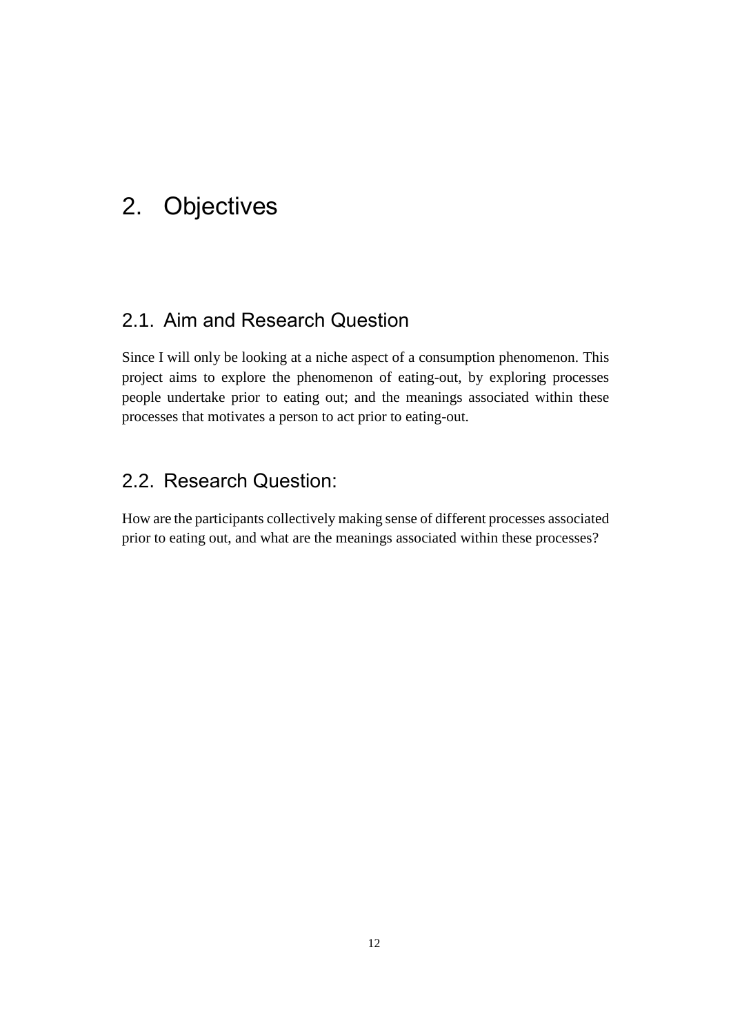## <span id="page-11-0"></span>2. Objectives

## <span id="page-11-1"></span>2.1. Aim and Research Question

Since I will only be looking at a niche aspect of a consumption phenomenon. This project aims to explore the phenomenon of eating-out, by exploring processes people undertake prior to eating out; and the meanings associated within these processes that motivates a person to act prior to eating-out.

## <span id="page-11-2"></span>2.2. Research Question:

How are the participants collectively making sense of different processes associated prior to eating out, and what are the meanings associated within these processes?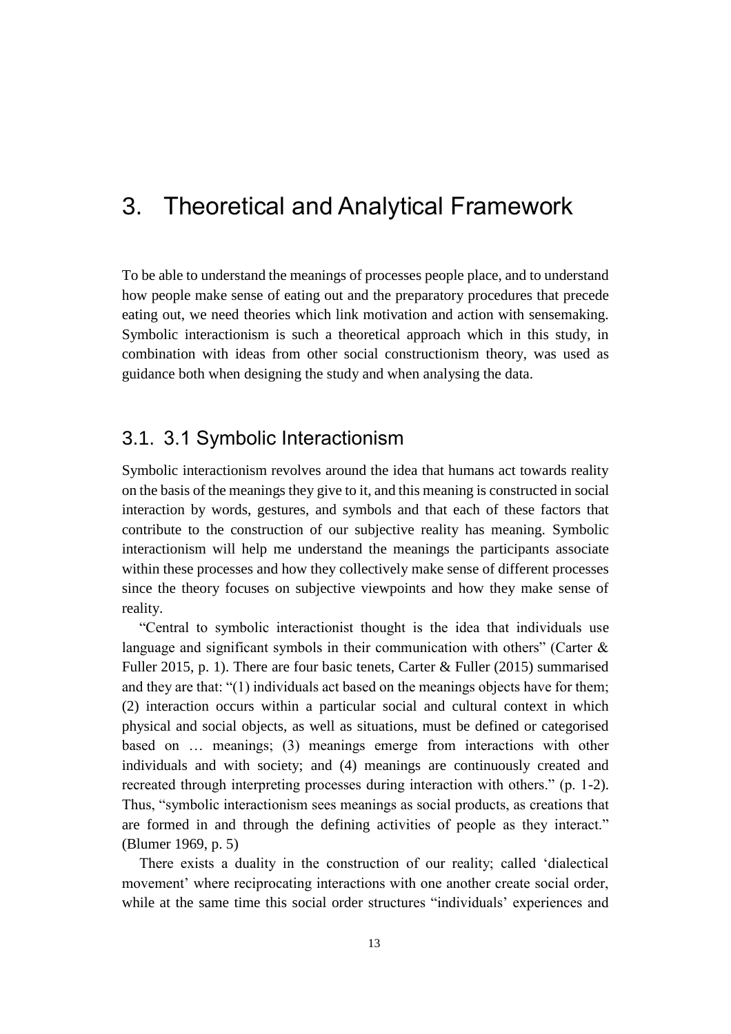## <span id="page-12-0"></span>3. Theoretical and Analytical Framework

To be able to understand the meanings of processes people place, and to understand how people make sense of eating out and the preparatory procedures that precede eating out, we need theories which link motivation and action with sensemaking. Symbolic interactionism is such a theoretical approach which in this study, in combination with ideas from other social constructionism theory, was used as guidance both when designing the study and when analysing the data.

## <span id="page-12-1"></span>3.1. 3.1 Symbolic Interactionism

Symbolic interactionism revolves around the idea that humans act towards reality on the basis of the meanings they give to it, and this meaning is constructed in social interaction by words, gestures, and symbols and that each of these factors that contribute to the construction of our subjective reality has meaning. Symbolic interactionism will help me understand the meanings the participants associate within these processes and how they collectively make sense of different processes since the theory focuses on subjective viewpoints and how they make sense of reality.

"Central to symbolic interactionist thought is the idea that individuals use language and significant symbols in their communication with others" (Carter  $\&$ Fuller 2015, p. 1). There are four basic tenets, Carter & Fuller (2015) summarised and they are that: "(1) individuals act based on the meanings objects have for them; (2) interaction occurs within a particular social and cultural context in which physical and social objects, as well as situations, must be defined or categorised based on … meanings; (3) meanings emerge from interactions with other individuals and with society; and (4) meanings are continuously created and recreated through interpreting processes during interaction with others." (p. 1-2). Thus, "symbolic interactionism sees meanings as social products, as creations that are formed in and through the defining activities of people as they interact." (Blumer 1969, p. 5)

There exists a duality in the construction of our reality; called 'dialectical movement' where reciprocating interactions with one another create social order, while at the same time this social order structures "individuals' experiences and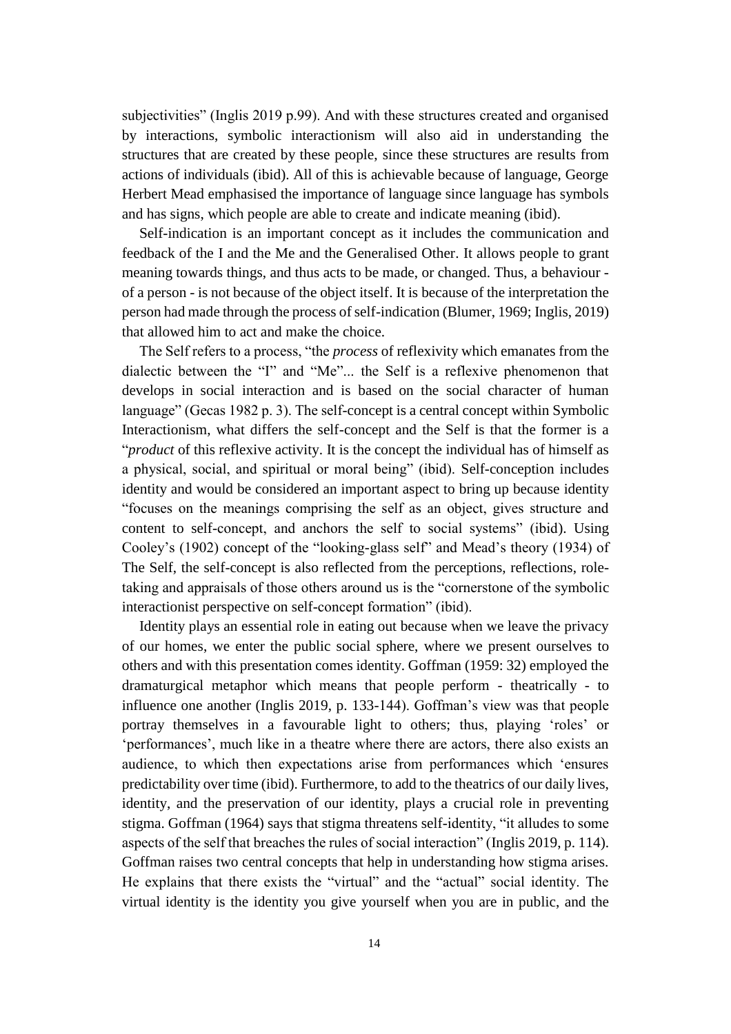subjectivities" (Inglis 2019 p.99). And with these structures created and organised by interactions, symbolic interactionism will also aid in understanding the structures that are created by these people, since these structures are results from actions of individuals (ibid). All of this is achievable because of language, George Herbert Mead emphasised the importance of language since language has symbols and has signs, which people are able to create and indicate meaning (ibid).

Self-indication is an important concept as it includes the communication and feedback of the I and the Me and the Generalised Other. It allows people to grant meaning towards things, and thus acts to be made, or changed. Thus, a behaviour of a person - is not because of the object itself. It is because of the interpretation the person had made through the process of self-indication (Blumer, 1969; Inglis, 2019) that allowed him to act and make the choice.

The Self refers to a process, "the *process* of reflexivity which emanates from the dialectic between the "I" and "Me"... the Self is a reflexive phenomenon that develops in social interaction and is based on the social character of human language" (Gecas 1982 p. 3). The self-concept is a central concept within Symbolic Interactionism, what differs the self-concept and the Self is that the former is a "*product* of this reflexive activity. It is the concept the individual has of himself as a physical, social, and spiritual or moral being" (ibid). Self-conception includes identity and would be considered an important aspect to bring up because identity "focuses on the meanings comprising the self as an object, gives structure and content to self-concept, and anchors the self to social systems" (ibid). Using Cooley's (1902) concept of the "looking-glass self" and Mead's theory (1934) of The Self, the self-concept is also reflected from the perceptions, reflections, roletaking and appraisals of those others around us is the "cornerstone of the symbolic interactionist perspective on self-concept formation" (ibid).

Identity plays an essential role in eating out because when we leave the privacy of our homes, we enter the public social sphere, where we present ourselves to others and with this presentation comes identity. Goffman (1959: 32) employed the dramaturgical metaphor which means that people perform - theatrically - to influence one another (Inglis 2019, p. 133-144). Goffman's view was that people portray themselves in a favourable light to others; thus, playing 'roles' or 'performances', much like in a theatre where there are actors, there also exists an audience, to which then expectations arise from performances which 'ensures predictability over time (ibid). Furthermore, to add to the theatrics of our daily lives, identity, and the preservation of our identity, plays a crucial role in preventing stigma. Goffman (1964) says that stigma threatens self-identity, "it alludes to some aspects of the self that breaches the rules of social interaction" (Inglis 2019, p. 114). Goffman raises two central concepts that help in understanding how stigma arises. He explains that there exists the "virtual" and the "actual" social identity. The virtual identity is the identity you give yourself when you are in public, and the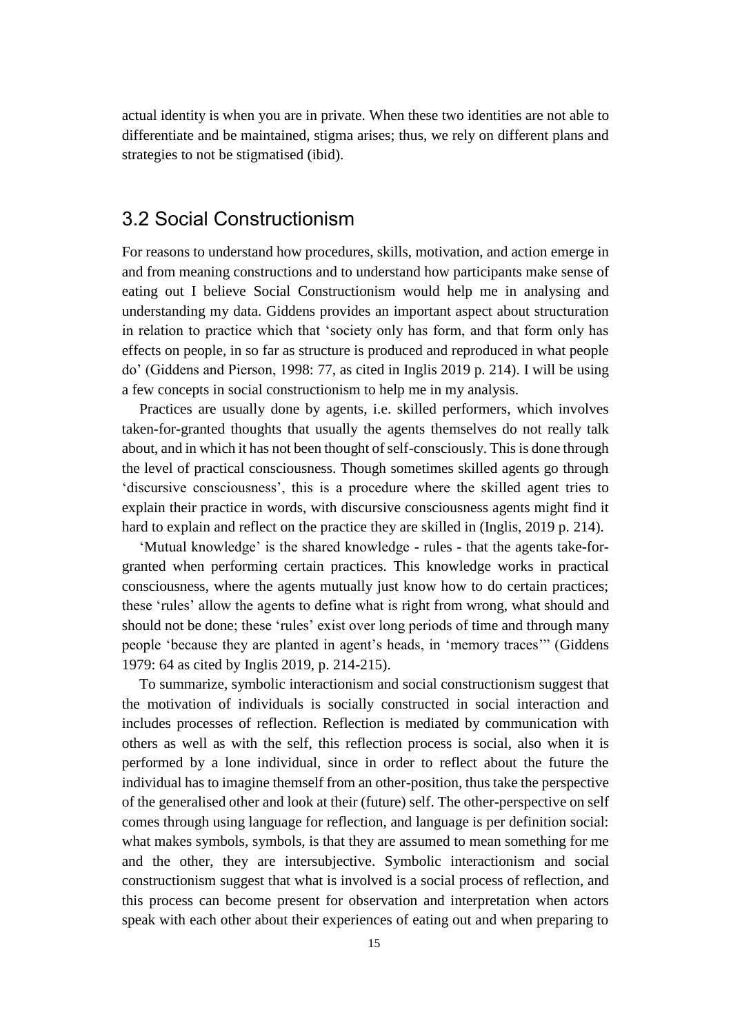actual identity is when you are in private. When these two identities are not able to differentiate and be maintained, stigma arises; thus, we rely on different plans and strategies to not be stigmatised (ibid).

## <span id="page-14-0"></span>3.2 Social Constructionism

For reasons to understand how procedures, skills, motivation, and action emerge in and from meaning constructions and to understand how participants make sense of eating out I believe Social Constructionism would help me in analysing and understanding my data. Giddens provides an important aspect about structuration in relation to practice which that 'society only has form, and that form only has effects on people, in so far as structure is produced and reproduced in what people do' (Giddens and Pierson, 1998: 77, as cited in Inglis 2019 p. 214). I will be using a few concepts in social constructionism to help me in my analysis.

Practices are usually done by agents, i.e. skilled performers, which involves taken-for-granted thoughts that usually the agents themselves do not really talk about, and in which it has not been thought of self-consciously. This is done through the level of practical consciousness. Though sometimes skilled agents go through 'discursive consciousness', this is a procedure where the skilled agent tries to explain their practice in words, with discursive consciousness agents might find it hard to explain and reflect on the practice they are skilled in (Inglis, 2019 p. 214).

'Mutual knowledge' is the shared knowledge - rules - that the agents take-forgranted when performing certain practices. This knowledge works in practical consciousness, where the agents mutually just know how to do certain practices; these 'rules' allow the agents to define what is right from wrong, what should and should not be done; these 'rules' exist over long periods of time and through many people 'because they are planted in agent's heads, in 'memory traces'" (Giddens 1979: 64 as cited by Inglis 2019, p. 214-215).

To summarize, symbolic interactionism and social constructionism suggest that the motivation of individuals is socially constructed in social interaction and includes processes of reflection. Reflection is mediated by communication with others as well as with the self, this reflection process is social, also when it is performed by a lone individual, since in order to reflect about the future the individual has to imagine themself from an other-position, thus take the perspective of the generalised other and look at their (future) self. The other-perspective on self comes through using language for reflection, and language is per definition social: what makes symbols, symbols, is that they are assumed to mean something for me and the other, they are intersubjective. Symbolic interactionism and social constructionism suggest that what is involved is a social process of reflection, and this process can become present for observation and interpretation when actors speak with each other about their experiences of eating out and when preparing to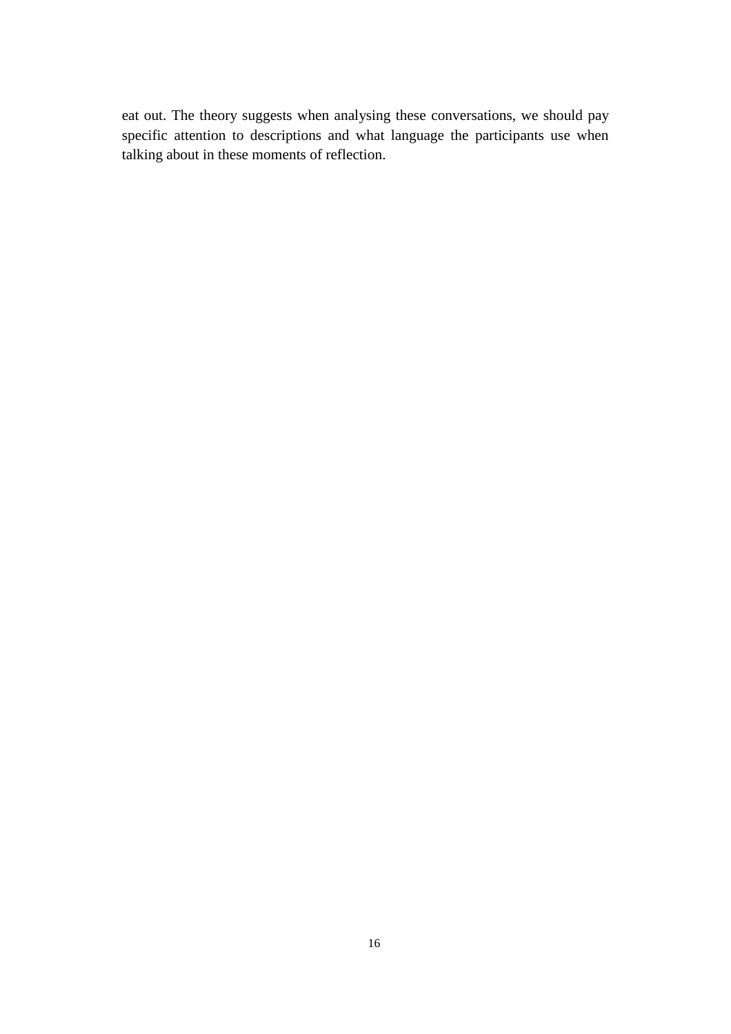eat out. The theory suggests when analysing these conversations, we should pay specific attention to descriptions and what language the participants use when talking about in these moments of reflection.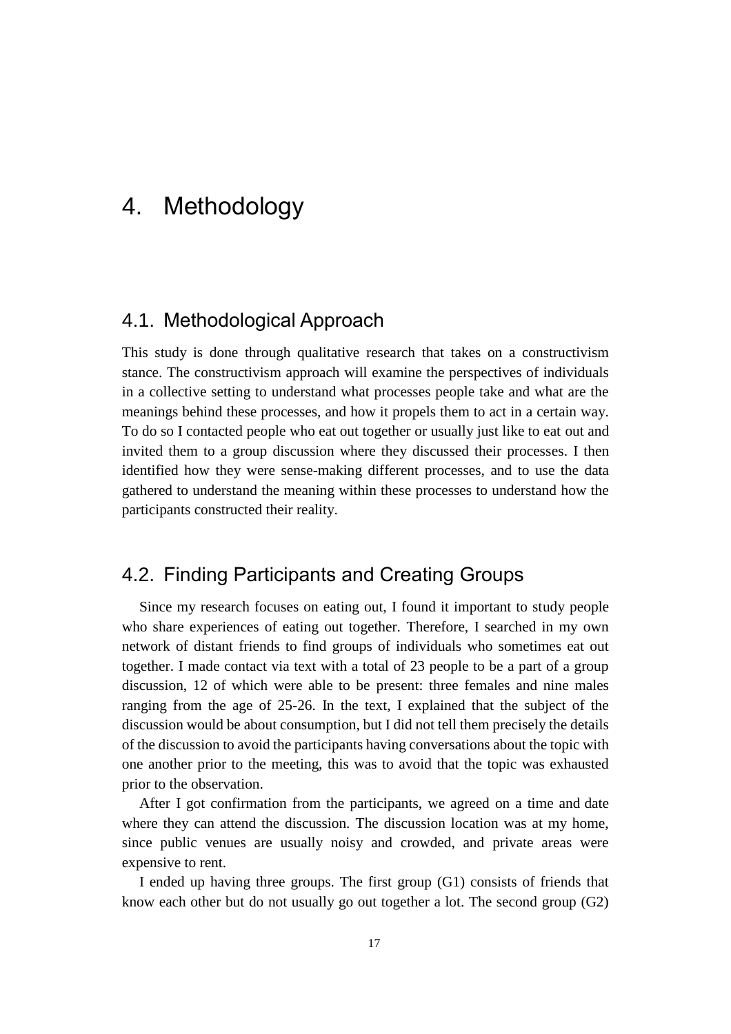## <span id="page-16-0"></span>4. Methodology

## <span id="page-16-1"></span>4.1. Methodological Approach

This study is done through qualitative research that takes on a constructivism stance. The constructivism approach will examine the perspectives of individuals in a collective setting to understand what processes people take and what are the meanings behind these processes, and how it propels them to act in a certain way. To do so I contacted people who eat out together or usually just like to eat out and invited them to a group discussion where they discussed their processes. I then identified how they were sense-making different processes, and to use the data gathered to understand the meaning within these processes to understand how the participants constructed their reality.

## <span id="page-16-2"></span>4.2. Finding Participants and Creating Groups

Since my research focuses on eating out, I found it important to study people who share experiences of eating out together. Therefore, I searched in my own network of distant friends to find groups of individuals who sometimes eat out together. I made contact via text with a total of 23 people to be a part of a group discussion, 12 of which were able to be present: three females and nine males ranging from the age of 25-26. In the text, I explained that the subject of the discussion would be about consumption, but I did not tell them precisely the details of the discussion to avoid the participants having conversations about the topic with one another prior to the meeting, this was to avoid that the topic was exhausted prior to the observation.

After I got confirmation from the participants, we agreed on a time and date where they can attend the discussion. The discussion location was at my home, since public venues are usually noisy and crowded, and private areas were expensive to rent.

I ended up having three groups. The first group (G1) consists of friends that know each other but do not usually go out together a lot. The second group (G2)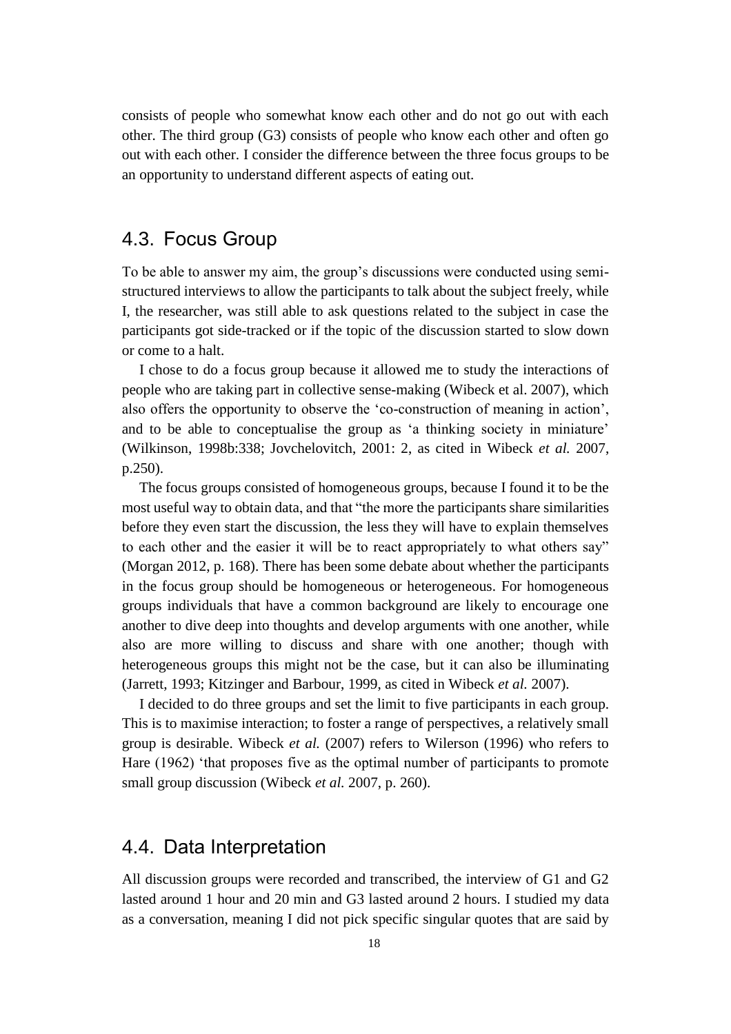consists of people who somewhat know each other and do not go out with each other. The third group (G3) consists of people who know each other and often go out with each other. I consider the difference between the three focus groups to be an opportunity to understand different aspects of eating out.

## <span id="page-17-0"></span>4.3. Focus Group

To be able to answer my aim, the group's discussions were conducted using semistructured interviews to allow the participants to talk about the subject freely, while I, the researcher, was still able to ask questions related to the subject in case the participants got side-tracked or if the topic of the discussion started to slow down or come to a halt.

I chose to do a focus group because it allowed me to study the interactions of people who are taking part in collective sense-making (Wibeck et al. 2007), which also offers the opportunity to observe the 'co-construction of meaning in action', and to be able to conceptualise the group as 'a thinking society in miniature' (Wilkinson, 1998b:338; Jovchelovitch, 2001: 2, as cited in Wibeck *et al.* 2007, p.250).

The focus groups consisted of homogeneous groups, because I found it to be the most useful way to obtain data, and that "the more the participants share similarities before they even start the discussion, the less they will have to explain themselves to each other and the easier it will be to react appropriately to what others say" (Morgan 2012, p. 168). There has been some debate about whether the participants in the focus group should be homogeneous or heterogeneous. For homogeneous groups individuals that have a common background are likely to encourage one another to dive deep into thoughts and develop arguments with one another, while also are more willing to discuss and share with one another; though with heterogeneous groups this might not be the case, but it can also be illuminating (Jarrett, 1993; Kitzinger and Barbour, 1999, as cited in Wibeck *et al.* 2007).

I decided to do three groups and set the limit to five participants in each group. This is to maximise interaction; to foster a range of perspectives, a relatively small group is desirable. Wibeck *et al.* (2007) refers to Wilerson (1996) who refers to Hare (1962) 'that proposes five as the optimal number of participants to promote small group discussion (Wibeck *et al.* 2007, p. 260).

## <span id="page-17-1"></span>4.4. Data Interpretation

All discussion groups were recorded and transcribed, the interview of G1 and G2 lasted around 1 hour and 20 min and G3 lasted around 2 hours. I studied my data as a conversation, meaning I did not pick specific singular quotes that are said by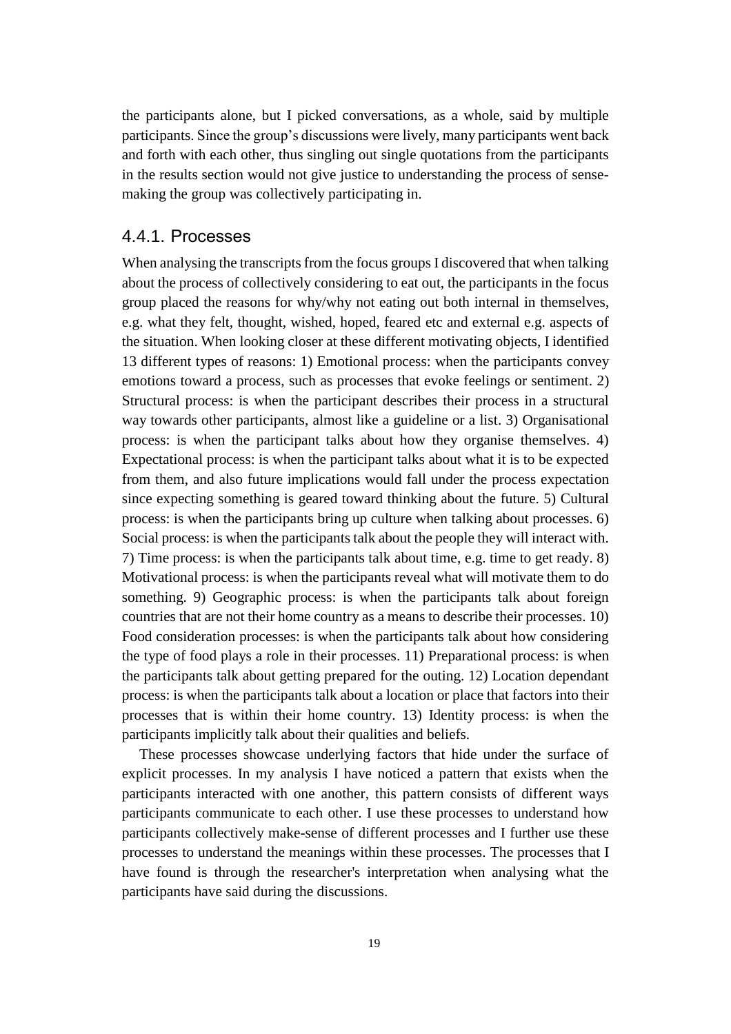the participants alone, but I picked conversations, as a whole, said by multiple participants. Since the group's discussions were lively, many participants went back and forth with each other, thus singling out single quotations from the participants in the results section would not give justice to understanding the process of sensemaking the group was collectively participating in.

#### <span id="page-18-0"></span>4.4.1. Processes

When analysing the transcripts from the focus groups I discovered that when talking about the process of collectively considering to eat out, the participants in the focus group placed the reasons for why/why not eating out both internal in themselves, e.g. what they felt, thought, wished, hoped, feared etc and external e.g. aspects of the situation. When looking closer at these different motivating objects, I identified 13 different types of reasons: 1) Emotional process: when the participants convey emotions toward a process, such as processes that evoke feelings or sentiment. 2) Structural process: is when the participant describes their process in a structural way towards other participants, almost like a guideline or a list. 3) Organisational process: is when the participant talks about how they organise themselves. 4) Expectational process: is when the participant talks about what it is to be expected from them, and also future implications would fall under the process expectation since expecting something is geared toward thinking about the future. 5) Cultural process: is when the participants bring up culture when talking about processes. 6) Social process: is when the participants talk about the people they will interact with. 7) Time process: is when the participants talk about time, e.g. time to get ready. 8) Motivational process: is when the participants reveal what will motivate them to do something. 9) Geographic process: is when the participants talk about foreign countries that are not their home country as a means to describe their processes. 10) Food consideration processes: is when the participants talk about how considering the type of food plays a role in their processes. 11) Preparational process: is when the participants talk about getting prepared for the outing. 12) Location dependant process: is when the participants talk about a location or place that factors into their processes that is within their home country. 13) Identity process: is when the participants implicitly talk about their qualities and beliefs.

These processes showcase underlying factors that hide under the surface of explicit processes. In my analysis I have noticed a pattern that exists when the participants interacted with one another, this pattern consists of different ways participants communicate to each other. I use these processes to understand how participants collectively make-sense of different processes and I further use these processes to understand the meanings within these processes. The processes that I have found is through the researcher's interpretation when analysing what the participants have said during the discussions.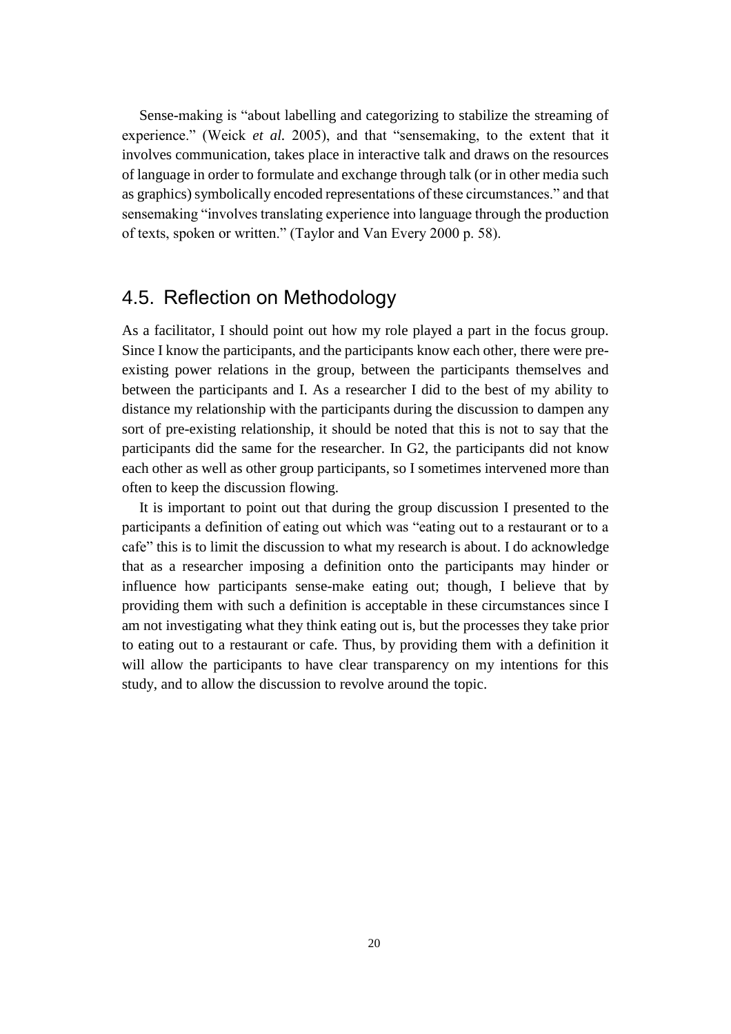Sense-making is "about labelling and categorizing to stabilize the streaming of experience." (Weick *et al.* 2005), and that "sensemaking, to the extent that it involves communication, takes place in interactive talk and draws on the resources of language in order to formulate and exchange through talk (or in other media such as graphics) symbolically encoded representations of these circumstances." and that sensemaking "involves translating experience into language through the production of texts, spoken or written." (Taylor and Van Every 2000 p. 58).

## <span id="page-19-0"></span>4.5. Reflection on Methodology

As a facilitator, I should point out how my role played a part in the focus group. Since I know the participants, and the participants know each other, there were preexisting power relations in the group, between the participants themselves and between the participants and I. As a researcher I did to the best of my ability to distance my relationship with the participants during the discussion to dampen any sort of pre-existing relationship, it should be noted that this is not to say that the participants did the same for the researcher. In G2, the participants did not know each other as well as other group participants, so I sometimes intervened more than often to keep the discussion flowing.

It is important to point out that during the group discussion I presented to the participants a definition of eating out which was "eating out to a restaurant or to a cafe" this is to limit the discussion to what my research is about. I do acknowledge that as a researcher imposing a definition onto the participants may hinder or influence how participants sense-make eating out; though, I believe that by providing them with such a definition is acceptable in these circumstances since I am not investigating what they think eating out is, but the processes they take prior to eating out to a restaurant or cafe. Thus, by providing them with a definition it will allow the participants to have clear transparency on my intentions for this study, and to allow the discussion to revolve around the topic.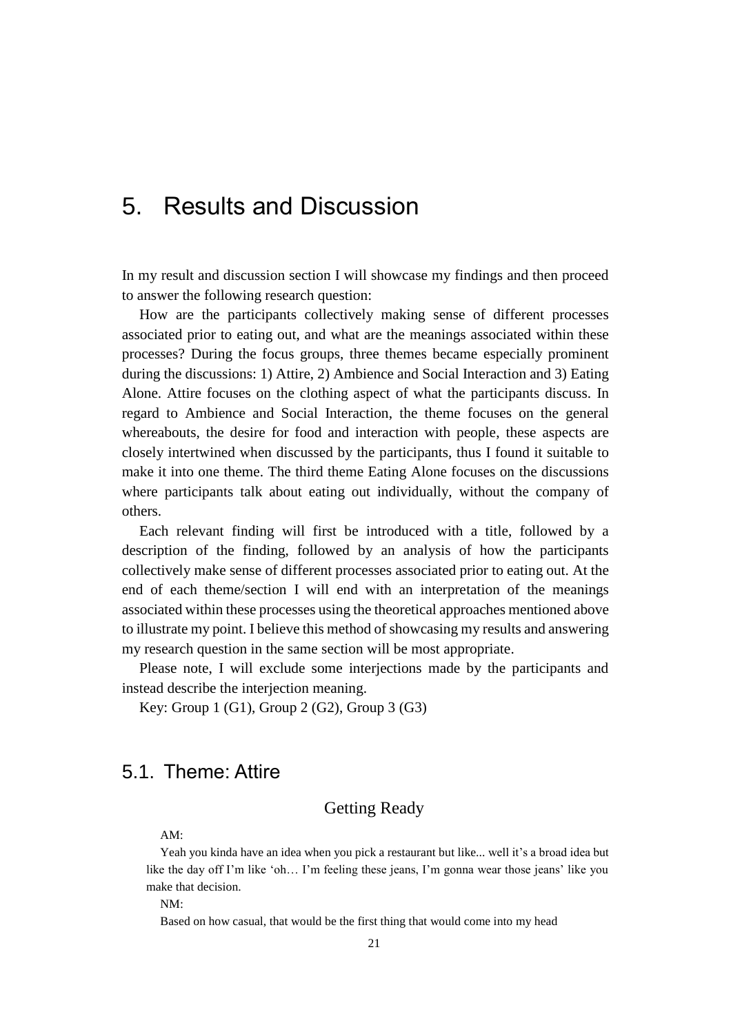## <span id="page-20-0"></span>5. Results and Discussion

In my result and discussion section I will showcase my findings and then proceed to answer the following research question:

How are the participants collectively making sense of different processes associated prior to eating out, and what are the meanings associated within these processes? During the focus groups, three themes became especially prominent during the discussions: 1) Attire, 2) Ambience and Social Interaction and 3) Eating Alone. Attire focuses on the clothing aspect of what the participants discuss. In regard to Ambience and Social Interaction, the theme focuses on the general whereabouts, the desire for food and interaction with people, these aspects are closely intertwined when discussed by the participants, thus I found it suitable to make it into one theme. The third theme Eating Alone focuses on the discussions where participants talk about eating out individually, without the company of others.

Each relevant finding will first be introduced with a title, followed by a description of the finding, followed by an analysis of how the participants collectively make sense of different processes associated prior to eating out. At the end of each theme/section I will end with an interpretation of the meanings associated within these processes using the theoretical approaches mentioned above to illustrate my point. I believe this method of showcasing my results and answering my research question in the same section will be most appropriate.

Please note, I will exclude some interjections made by the participants and instead describe the interjection meaning.

<span id="page-20-1"></span>Key: Group 1 (G1), Group 2 (G2), Group 3 (G3)

## <span id="page-20-2"></span>5.1. Theme: Attire

## Getting Ready

AM:

Yeah you kinda have an idea when you pick a restaurant but like... well it's a broad idea but like the day off I'm like 'oh… I'm feeling these jeans, I'm gonna wear those jeans' like you make that decision.

NM:

Based on how casual, that would be the first thing that would come into my head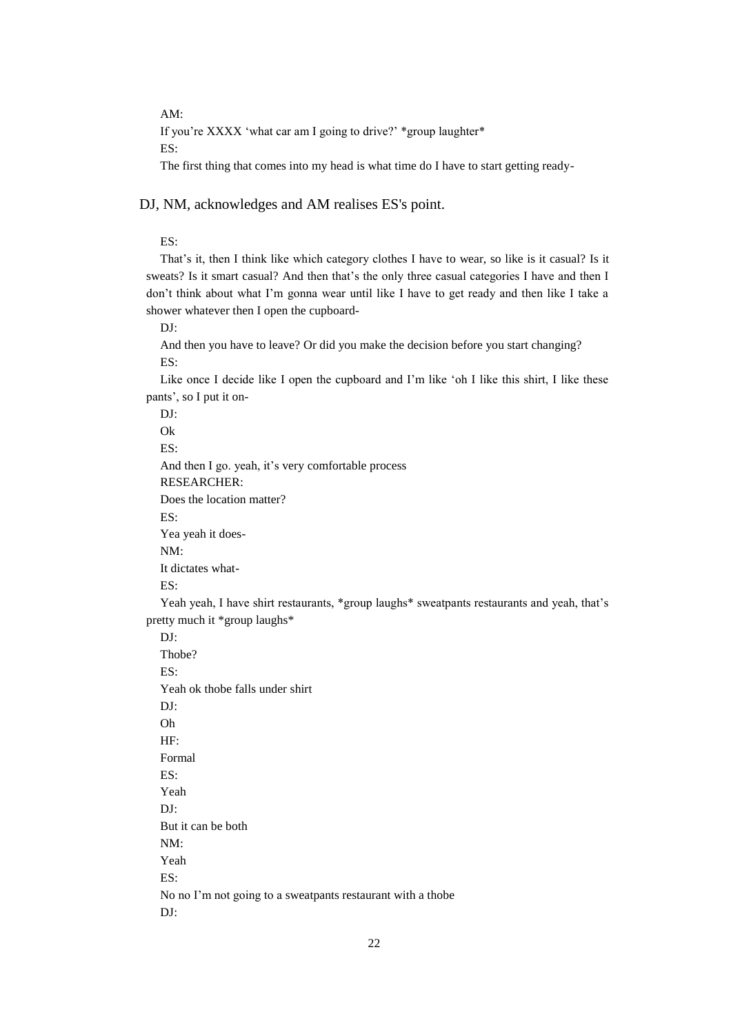AM:

If you're XXXX 'what car am I going to drive?' \*group laughter\*

ES:

The first thing that comes into my head is what time do I have to start getting ready-

DJ, NM, acknowledges and AM realises ES's point.

ES:

That's it, then I think like which category clothes I have to wear, so like is it casual? Is it sweats? Is it smart casual? And then that's the only three casual categories I have and then I don't think about what I'm gonna wear until like I have to get ready and then like I take a shower whatever then I open the cupboard-

DJ:

And then you have to leave? Or did you make the decision before you start changing? ES:

Like once I decide like I open the cupboard and I'm like 'oh I like this shirt, I like these pants', so I put it on-

DJ: Ok

ES:

And then I go. yeah, it's very comfortable process

RESEARCHER:

Does the location matter?

ES:

Yea yeah it does-

NM:

It dictates what-

ES:

Yeah yeah, I have shirt restaurants, \*group laughs\* sweatpants restaurants and yeah, that's pretty much it \*group laughs\*

DJ: Thobe? ES: Yeah ok thobe falls under shirt DJ: Oh HF: Formal ES: Yeah DJ: But it can be both NM: Yeah ES: No no I'm not going to a sweatpants restaurant with a thobe DJ: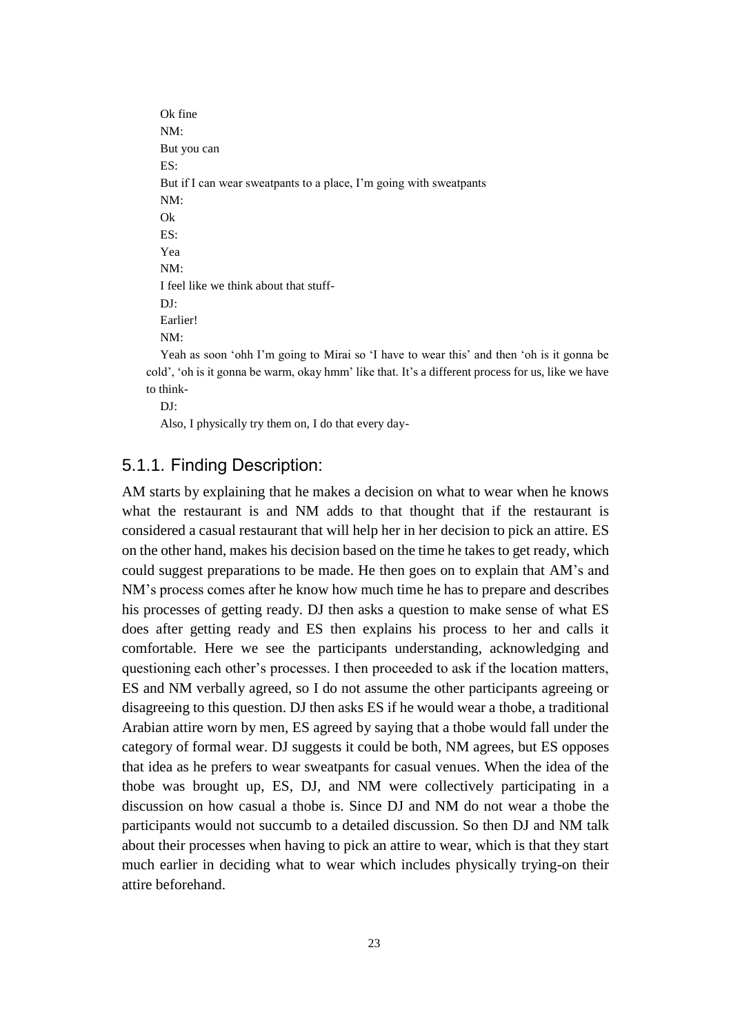Ok fine NM: But you can ES: But if I can wear sweatpants to a place, I'm going with sweatpants NM: Ok ES: Yea NM: I feel like we think about that stuff-DJ: Earlier! NM: Yeah as soon 'ohh I'm going to Mirai so 'I have to wear this' and then 'oh is it gonna be

cold', 'oh is it gonna be warm, okay hmm' like that. It's a different process for us, like we have to think-

DJ:

Also, I physically try them on, I do that every day-

## <span id="page-22-0"></span>5.1.1. Finding Description:

AM starts by explaining that he makes a decision on what to wear when he knows what the restaurant is and NM adds to that thought that if the restaurant is considered a casual restaurant that will help her in her decision to pick an attire. ES on the other hand, makes his decision based on the time he takes to get ready, which could suggest preparations to be made. He then goes on to explain that AM's and NM's process comes after he know how much time he has to prepare and describes his processes of getting ready. DJ then asks a question to make sense of what ES does after getting ready and ES then explains his process to her and calls it comfortable. Here we see the participants understanding, acknowledging and questioning each other's processes. I then proceeded to ask if the location matters, ES and NM verbally agreed, so I do not assume the other participants agreeing or disagreeing to this question. DJ then asks ES if he would wear a thobe, a traditional Arabian attire worn by men, ES agreed by saying that a thobe would fall under the category of formal wear. DJ suggests it could be both, NM agrees, but ES opposes that idea as he prefers to wear sweatpants for casual venues. When the idea of the thobe was brought up, ES, DJ, and NM were collectively participating in a discussion on how casual a thobe is. Since DJ and NM do not wear a thobe the participants would not succumb to a detailed discussion. So then DJ and NM talk about their processes when having to pick an attire to wear, which is that they start much earlier in deciding what to wear which includes physically trying-on their attire beforehand.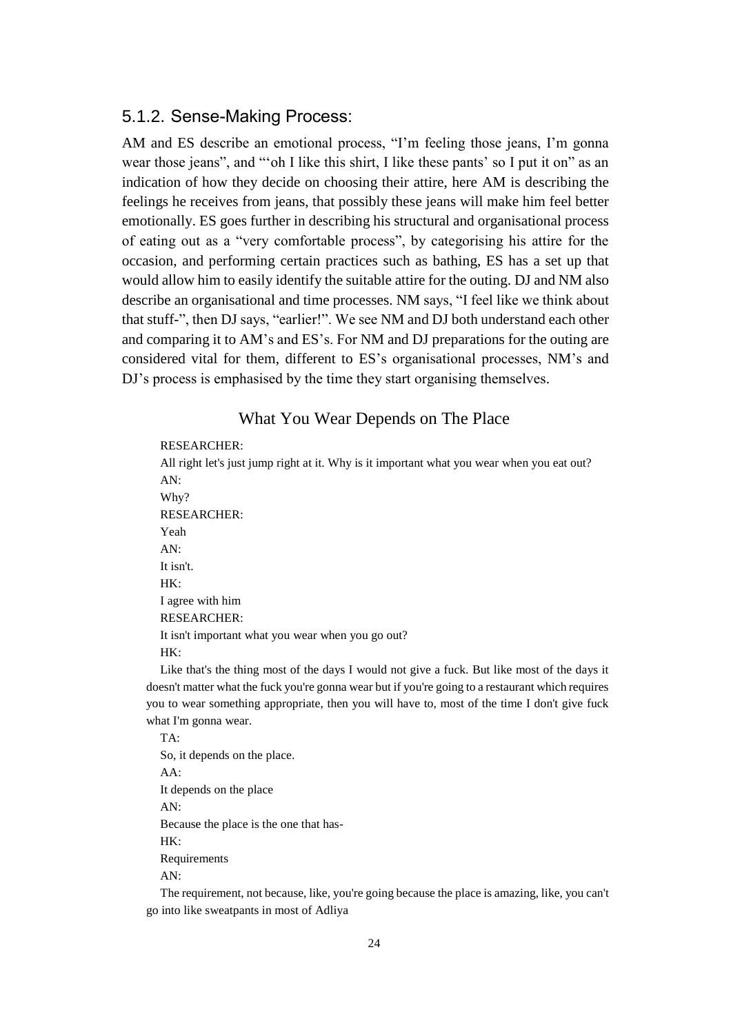## <span id="page-23-0"></span>5.1.2. Sense-Making Process:

AM and ES describe an emotional process, "I'm feeling those jeans, I'm gonna wear those jeans", and "'oh I like this shirt, I like these pants' so I put it on" as an indication of how they decide on choosing their attire, here AM is describing the feelings he receives from jeans, that possibly these jeans will make him feel better emotionally. ES goes further in describing his structural and organisational process of eating out as a "very comfortable process", by categorising his attire for the occasion, and performing certain practices such as bathing, ES has a set up that would allow him to easily identify the suitable attire for the outing. DJ and NM also describe an organisational and time processes. NM says, "I feel like we think about that stuff-", then DJ says, "earlier!". We see NM and DJ both understand each other and comparing it to AM's and ES's. For NM and DJ preparations for the outing are considered vital for them, different to ES's organisational processes, NM's and DJ's process is emphasised by the time they start organising themselves.

#### What You Wear Depends on The Place

#### <span id="page-23-1"></span>RESEARCHER:

All right let's just jump right at it. Why is it important what you wear when you eat out? AN: Why? RESEARCHER: Yeah AN: It isn't. HK: I agree with him RESEARCHER: It isn't important what you wear when you go out? HK: Like that's the thing most of the days I would not give a fuck. But like most of the days it

doesn't matter what the fuck you're gonna wear but if you're going to a restaurant which requires you to wear something appropriate, then you will have to, most of the time I don't give fuck what I'm gonna wear.

TA: So, it depends on the place. AA: It depends on the place AN: Because the place is the one that has-HK: Requirements AN:

The requirement, not because, like, you're going because the place is amazing, like, you can't go into like sweatpants in most of Adliya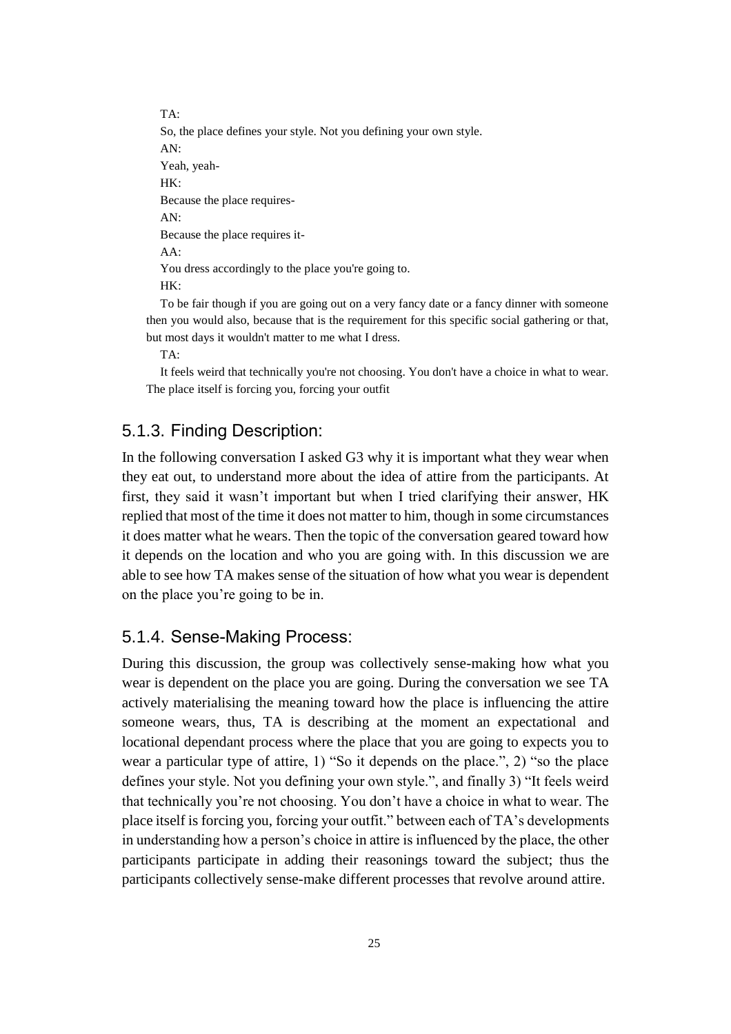TA: So, the place defines your style. Not you defining your own style. AN: Yeah, yeah-HK: Because the place requires-AN: Because the place requires it-AA: You dress accordingly to the place you're going to. HK: To be fair though if you are going out on a very fancy date or a fancy dinner with someone

then you would also, because that is the requirement for this specific social gathering or that, but most days it wouldn't matter to me what I dress.

TA:

It feels weird that technically you're not choosing. You don't have a choice in what to wear. The place itself is forcing you, forcing your outfit

## <span id="page-24-0"></span>5.1.3. Finding Description:

In the following conversation I asked G3 why it is important what they wear when they eat out, to understand more about the idea of attire from the participants. At first, they said it wasn't important but when I tried clarifying their answer, HK replied that most of the time it does not matter to him, though in some circumstances it does matter what he wears. Then the topic of the conversation geared toward how it depends on the location and who you are going with. In this discussion we are able to see how TA makes sense of the situation of how what you wear is dependent on the place you're going to be in.

#### <span id="page-24-1"></span>5.1.4. Sense-Making Process:

During this discussion, the group was collectively sense-making how what you wear is dependent on the place you are going. During the conversation we see TA actively materialising the meaning toward how the place is influencing the attire someone wears, thus, TA is describing at the moment an expectational and locational dependant process where the place that you are going to expects you to wear a particular type of attire, 1) "So it depends on the place.", 2) "so the place defines your style. Not you defining your own style.", and finally 3) "It feels weird that technically you're not choosing. You don't have a choice in what to wear. The place itself is forcing you, forcing your outfit." between each of TA's developments in understanding how a person's choice in attire is influenced by the place, the other participants participate in adding their reasonings toward the subject; thus the participants collectively sense-make different processes that revolve around attire.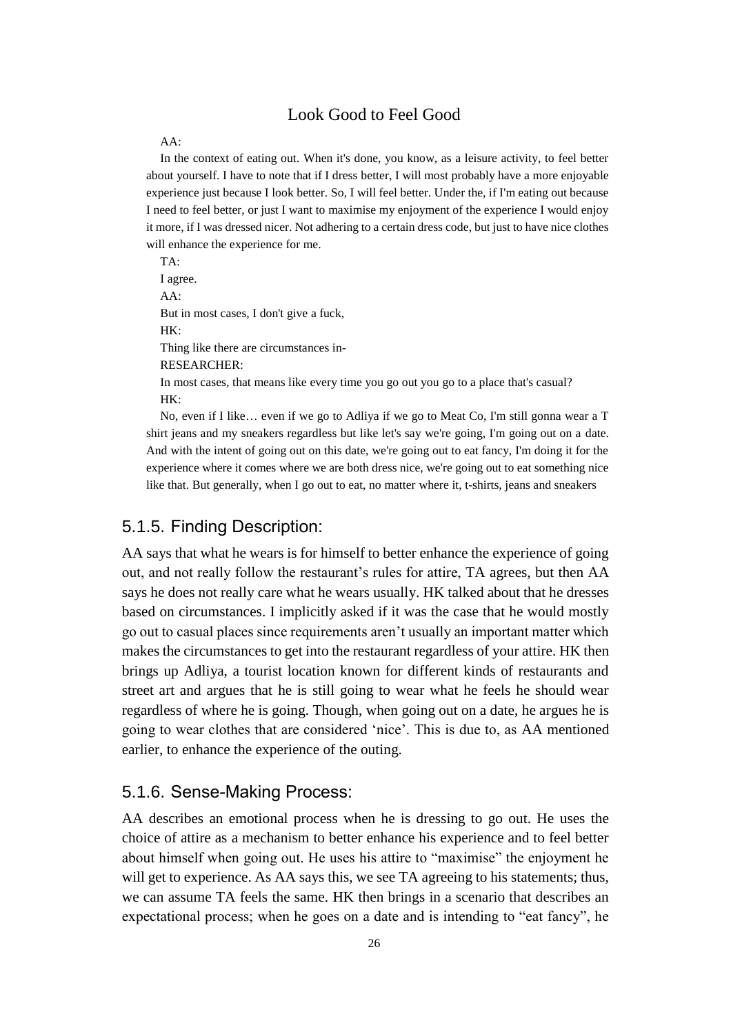## Look Good to Feel Good

#### <span id="page-25-0"></span>AA:

In the context of eating out. When it's done, you know, as a leisure activity, to feel better about yourself. I have to note that if I dress better, I will most probably have a more enjoyable experience just because I look better. So, I will feel better. Under the, if I'm eating out because I need to feel better, or just I want to maximise my enjoyment of the experience I would enjoy it more, if I was dressed nicer. Not adhering to a certain dress code, but just to have nice clothes will enhance the experience for me.

TA: I agree. AA: But in most cases, I don't give a fuck, HK· Thing like there are circumstances in-RESEARCHER: In most cases, that means like every time you go out you go to a place that's casual? HK:

No, even if I like… even if we go to Adliya if we go to Meat Co, I'm still gonna wear a T shirt jeans and my sneakers regardless but like let's say we're going, I'm going out on a date. And with the intent of going out on this date, we're going out to eat fancy, I'm doing it for the experience where it comes where we are both dress nice, we're going out to eat something nice like that. But generally, when I go out to eat, no matter where it, t-shirts, jeans and sneakers

#### <span id="page-25-1"></span>5.1.5. Finding Description:

AA says that what he wears is for himself to better enhance the experience of going out, and not really follow the restaurant's rules for attire, TA agrees, but then AA says he does not really care what he wears usually. HK talked about that he dresses based on circumstances. I implicitly asked if it was the case that he would mostly go out to casual places since requirements aren't usually an important matter which makes the circumstances to get into the restaurant regardless of your attire. HK then brings up Adliya, a tourist location known for different kinds of restaurants and street art and argues that he is still going to wear what he feels he should wear regardless of where he is going. Though, when going out on a date, he argues he is going to wear clothes that are considered 'nice'. This is due to, as AA mentioned earlier, to enhance the experience of the outing.

## <span id="page-25-2"></span>5.1.6. Sense-Making Process:

AA describes an emotional process when he is dressing to go out. He uses the choice of attire as a mechanism to better enhance his experience and to feel better about himself when going out. He uses his attire to "maximise" the enjoyment he will get to experience. As AA says this, we see TA agreeing to his statements; thus, we can assume TA feels the same. HK then brings in a scenario that describes an expectational process; when he goes on a date and is intending to "eat fancy", he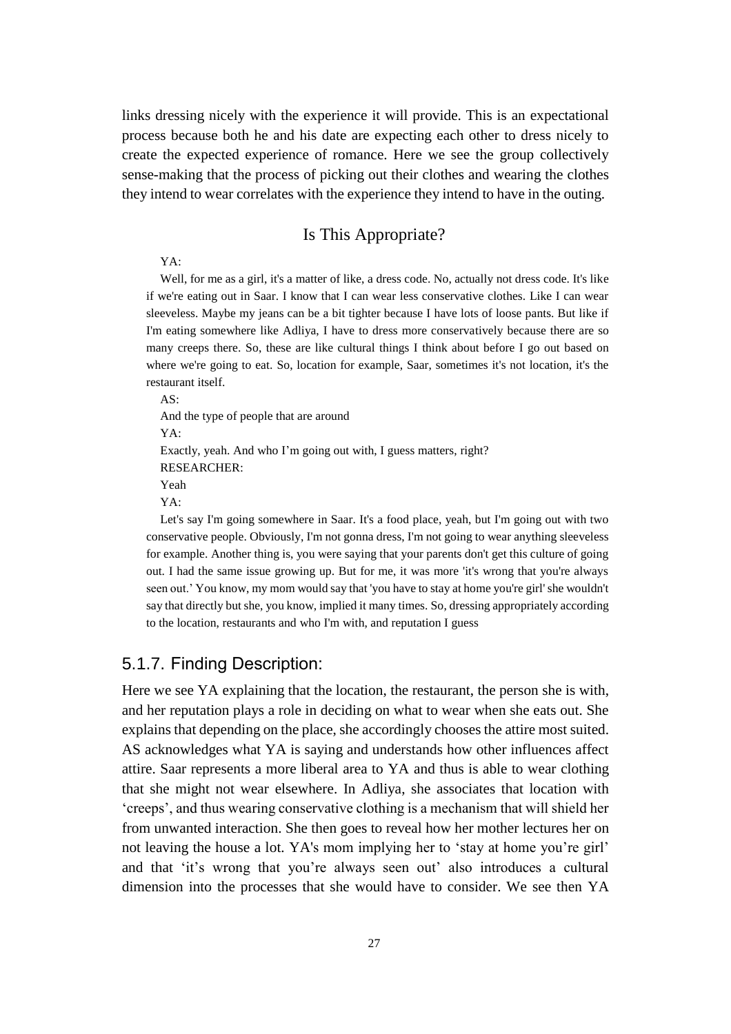links dressing nicely with the experience it will provide. This is an expectational process because both he and his date are expecting each other to dress nicely to create the expected experience of romance. Here we see the group collectively sense-making that the process of picking out their clothes and wearing the clothes they intend to wear correlates with the experience they intend to have in the outing.

### Is This Appropriate?

#### <span id="page-26-0"></span>YA:

Well, for me as a girl, it's a matter of like, a dress code. No, actually not dress code. It's like if we're eating out in Saar. I know that I can wear less conservative clothes. Like I can wear sleeveless. Maybe my jeans can be a bit tighter because I have lots of loose pants. But like if I'm eating somewhere like Adliya, I have to dress more conservatively because there are so many creeps there. So, these are like cultural things I think about before I go out based on where we're going to eat. So, location for example, Saar, sometimes it's not location, it's the restaurant itself.

AS: And the type of people that are around YA: Exactly, yeah. And who I'm going out with, I guess matters, right? RESEARCHER: Yeah YA:

Let's say I'm going somewhere in Saar. It's a food place, yeah, but I'm going out with two conservative people. Obviously, I'm not gonna dress, I'm not going to wear anything sleeveless for example. Another thing is, you were saying that your parents don't get this culture of going out. I had the same issue growing up. But for me, it was more 'it's wrong that you're always seen out.' You know, my mom would say that 'you have to stay at home you're girl' she wouldn't say that directly but she, you know, implied it many times. So, dressing appropriately according to the location, restaurants and who I'm with, and reputation I guess

#### <span id="page-26-1"></span>5.1.7. Finding Description:

Here we see YA explaining that the location, the restaurant, the person she is with, and her reputation plays a role in deciding on what to wear when she eats out. She explains that depending on the place, she accordingly chooses the attire most suited. AS acknowledges what YA is saying and understands how other influences affect attire. Saar represents a more liberal area to YA and thus is able to wear clothing that she might not wear elsewhere. In Adliya, she associates that location with 'creeps', and thus wearing conservative clothing is a mechanism that will shield her from unwanted interaction. She then goes to reveal how her mother lectures her on not leaving the house a lot. YA's mom implying her to 'stay at home you're girl' and that 'it's wrong that you're always seen out' also introduces a cultural dimension into the processes that she would have to consider. We see then YA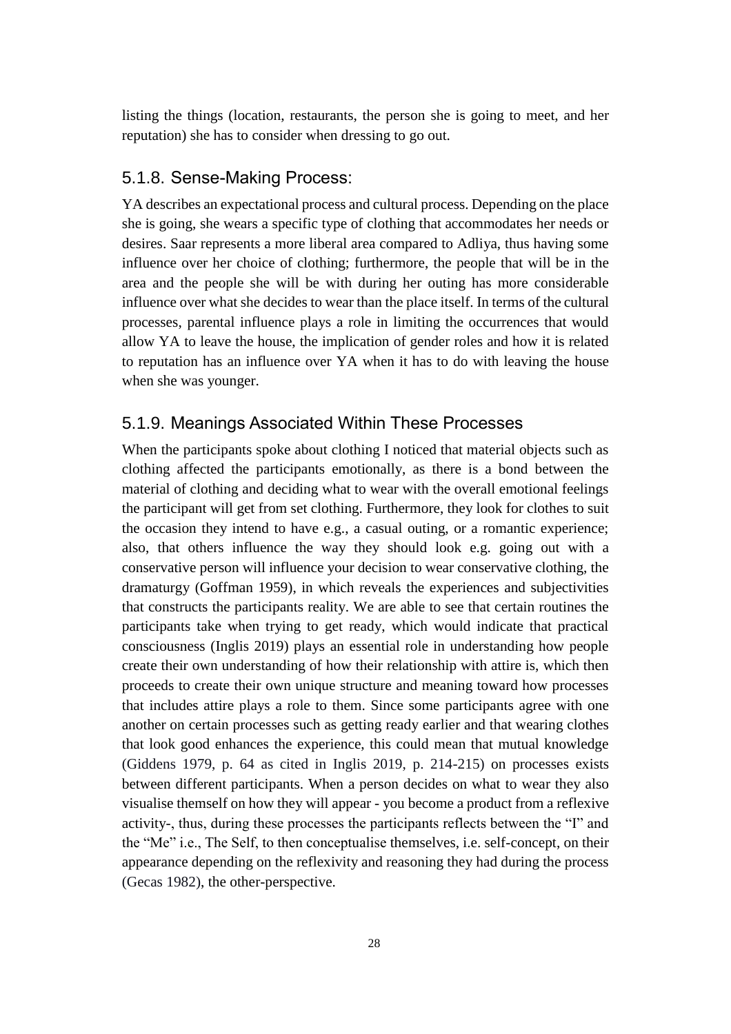listing the things (location, restaurants, the person she is going to meet, and her reputation) she has to consider when dressing to go out.

## <span id="page-27-0"></span>5.1.8. Sense-Making Process:

YA describes an expectational process and cultural process. Depending on the place she is going, she wears a specific type of clothing that accommodates her needs or desires. Saar represents a more liberal area compared to Adliya, thus having some influence over her choice of clothing; furthermore, the people that will be in the area and the people she will be with during her outing has more considerable influence over what she decides to wear than the place itself. In terms of the cultural processes, parental influence plays a role in limiting the occurrences that would allow YA to leave the house, the implication of gender roles and how it is related to reputation has an influence over YA when it has to do with leaving the house when she was younger.

### <span id="page-27-1"></span>5.1.9. Meanings Associated Within These Processes

When the participants spoke about clothing I noticed that material objects such as clothing affected the participants emotionally, as there is a bond between the material of clothing and deciding what to wear with the overall emotional feelings the participant will get from set clothing. Furthermore, they look for clothes to suit the occasion they intend to have e.g., a casual outing, or a romantic experience; also, that others influence the way they should look e.g. going out with a conservative person will influence your decision to wear conservative clothing, the dramaturgy (Goffman 1959), in which reveals the experiences and subjectivities that constructs the participants reality. We are able to see that certain routines the participants take when trying to get ready, which would indicate that practical consciousness (Inglis 2019) plays an essential role in understanding how people create their own understanding of how their relationship with attire is, which then proceeds to create their own unique structure and meaning toward how processes that includes attire plays a role to them. Since some participants agree with one another on certain processes such as getting ready earlier and that wearing clothes that look good enhances the experience, this could mean that mutual knowledge (Giddens 1979, p. 64 as cited in Inglis 2019, p. 214-215) on processes exists between different participants. When a person decides on what to wear they also visualise themself on how they will appear - you become a product from a reflexive activity-, thus, during these processes the participants reflects between the "I" and the "Me" i.e., The Self, to then conceptualise themselves, i.e. self-concept, on their appearance depending on the reflexivity and reasoning they had during the process (Gecas 1982), the other-perspective.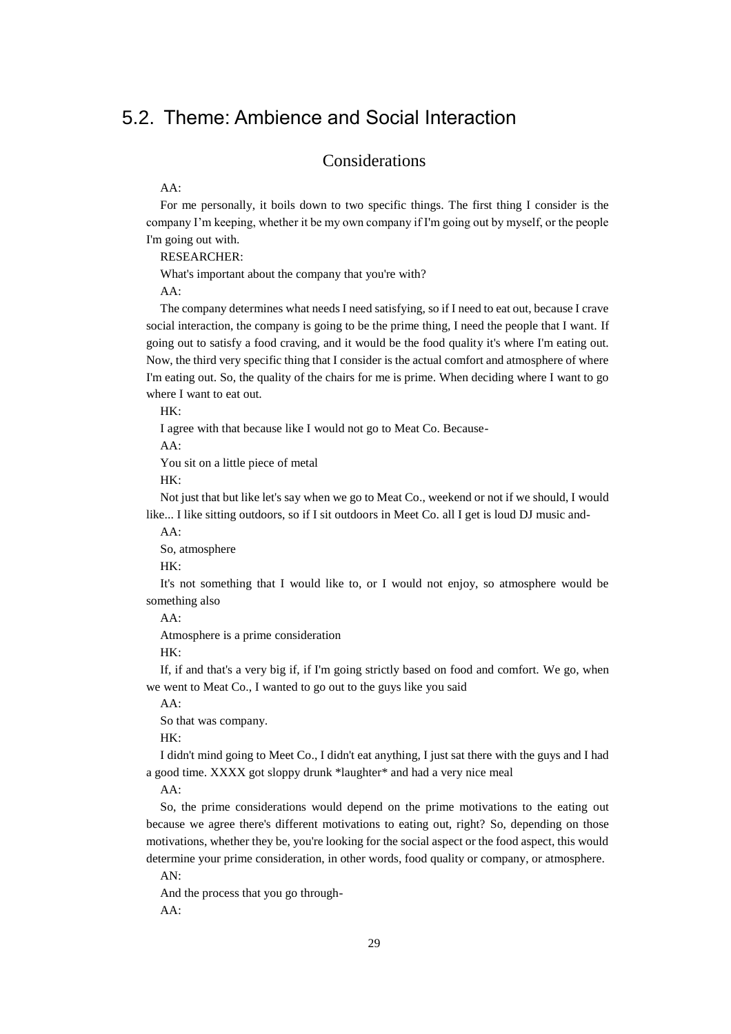## <span id="page-28-1"></span><span id="page-28-0"></span>5.2. Theme: Ambience and Social Interaction

## Considerations

AA:

For me personally, it boils down to two specific things. The first thing I consider is the company I'm keeping, whether it be my own company if I'm going out by myself, or the people I'm going out with.

RESEARCHER:

What's important about the company that you're with?

AA:

The company determines what needs I need satisfying, so if I need to eat out, because I crave social interaction, the company is going to be the prime thing, I need the people that I want. If going out to satisfy a food craving, and it would be the food quality it's where I'm eating out. Now, the third very specific thing that I consider is the actual comfort and atmosphere of where I'm eating out. So, the quality of the chairs for me is prime. When deciding where I want to go where I want to eat out.

HK:

I agree with that because like I would not go to Meat Co. Because-

AA:

You sit on a little piece of metal

HK:

Not just that but like let's say when we go to Meat Co., weekend or not if we should, I would like... I like sitting outdoors, so if I sit outdoors in Meet Co. all I get is loud DJ music and-

AA:

So, atmosphere

HK:

It's not something that I would like to, or I would not enjoy, so atmosphere would be something also

AA:

Atmosphere is a prime consideration

HK:

If, if and that's a very big if, if I'm going strictly based on food and comfort. We go, when we went to Meat Co., I wanted to go out to the guys like you said

AA:

So that was company.

HK:

I didn't mind going to Meet Co., I didn't eat anything, I just sat there with the guys and I had a good time. XXXX got sloppy drunk \*laughter\* and had a very nice meal

AA:

So, the prime considerations would depend on the prime motivations to the eating out because we agree there's different motivations to eating out, right? So, depending on those motivations, whether they be, you're looking for the social aspect or the food aspect, this would determine your prime consideration, in other words, food quality or company, or atmosphere.

AN:

And the process that you go through-AA: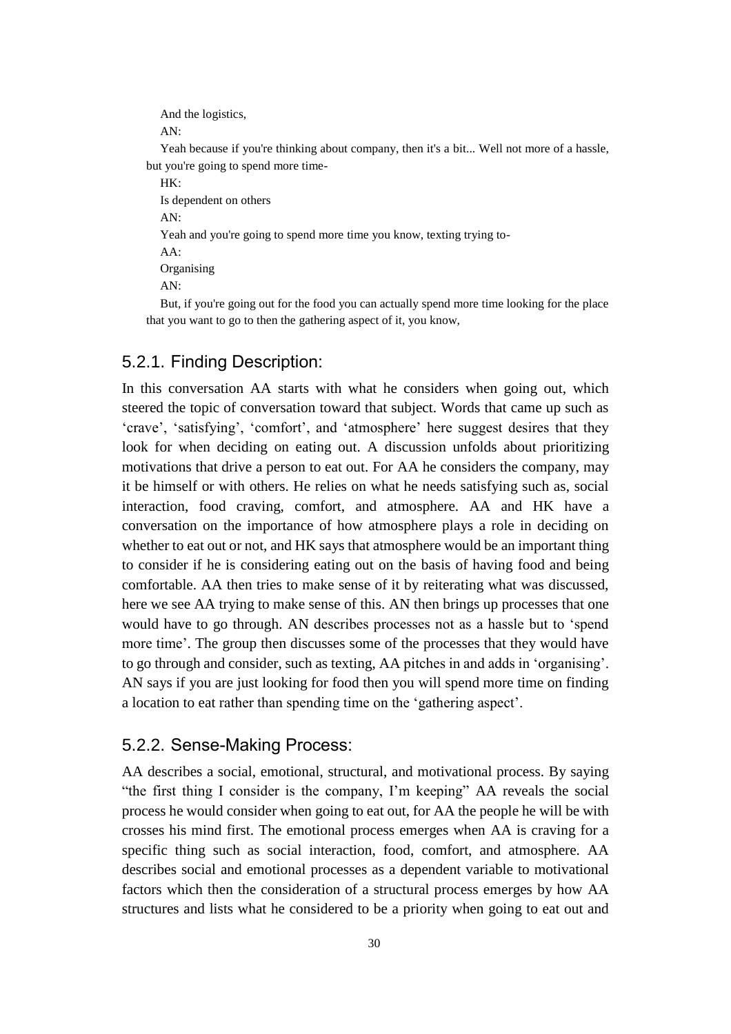And the logistics,

AN:

Yeah because if you're thinking about company, then it's a bit... Well not more of a hassle, but you're going to spend more time-

HK:

Is dependent on others AN: Yeah and you're going to spend more time you know, texting trying to-AA: **Organising** AN:

But, if you're going out for the food you can actually spend more time looking for the place that you want to go to then the gathering aspect of it, you know,

## <span id="page-29-0"></span>5.2.1. Finding Description:

In this conversation AA starts with what he considers when going out, which steered the topic of conversation toward that subject. Words that came up such as 'crave', 'satisfying', 'comfort', and 'atmosphere' here suggest desires that they look for when deciding on eating out. A discussion unfolds about prioritizing motivations that drive a person to eat out. For AA he considers the company, may it be himself or with others. He relies on what he needs satisfying such as, social interaction, food craving, comfort, and atmosphere. AA and HK have a conversation on the importance of how atmosphere plays a role in deciding on whether to eat out or not, and HK says that atmosphere would be an important thing to consider if he is considering eating out on the basis of having food and being comfortable. AA then tries to make sense of it by reiterating what was discussed, here we see AA trying to make sense of this. AN then brings up processes that one would have to go through. AN describes processes not as a hassle but to 'spend more time'. The group then discusses some of the processes that they would have to go through and consider, such as texting, AA pitches in and adds in 'organising'. AN says if you are just looking for food then you will spend more time on finding a location to eat rather than spending time on the 'gathering aspect'.

## <span id="page-29-1"></span>5.2.2. Sense-Making Process:

AA describes a social, emotional, structural, and motivational process. By saying "the first thing I consider is the company, I'm keeping" AA reveals the social process he would consider when going to eat out, for AA the people he will be with crosses his mind first. The emotional process emerges when AA is craving for a specific thing such as social interaction, food, comfort, and atmosphere. AA describes social and emotional processes as a dependent variable to motivational factors which then the consideration of a structural process emerges by how AA structures and lists what he considered to be a priority when going to eat out and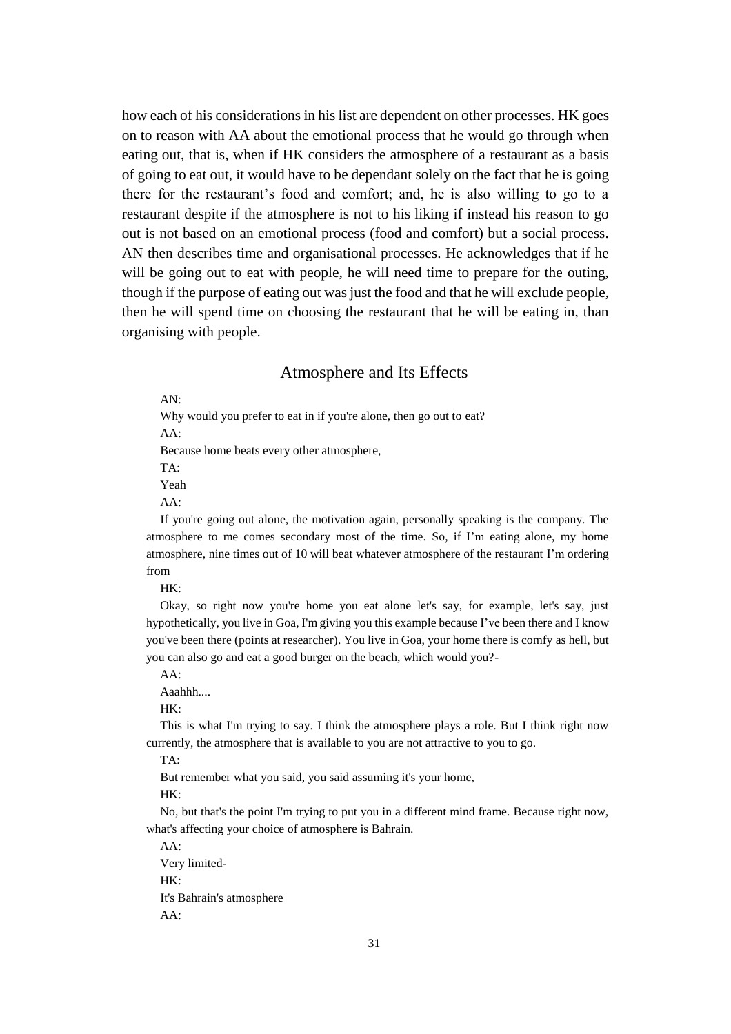how each of his considerations in his list are dependent on other processes. HK goes on to reason with AA about the emotional process that he would go through when eating out, that is, when if HK considers the atmosphere of a restaurant as a basis of going to eat out, it would have to be dependant solely on the fact that he is going there for the restaurant's food and comfort; and, he is also willing to go to a restaurant despite if the atmosphere is not to his liking if instead his reason to go out is not based on an emotional process (food and comfort) but a social process. AN then describes time and organisational processes. He acknowledges that if he will be going out to eat with people, he will need time to prepare for the outing, though if the purpose of eating out was just the food and that he will exclude people, then he will spend time on choosing the restaurant that he will be eating in, than organising with people.

#### Atmosphere and Its Effects

<span id="page-30-0"></span>AN:

Why would you prefer to eat in if you're alone, then go out to eat? AA:

Because home beats every other atmosphere,

TA:

Yeah

AA:

If you're going out alone, the motivation again, personally speaking is the company. The atmosphere to me comes secondary most of the time. So, if I'm eating alone, my home atmosphere, nine times out of 10 will beat whatever atmosphere of the restaurant I'm ordering from

HK:

Okay, so right now you're home you eat alone let's say, for example, let's say, just hypothetically, you live in Goa, I'm giving you this example because I've been there and I know you've been there (points at researcher). You live in Goa, your home there is comfy as hell, but you can also go and eat a good burger on the beach, which would you?-

AA: Aaahhh....

HK:

This is what I'm trying to say. I think the atmosphere plays a role. But I think right now currently, the atmosphere that is available to you are not attractive to you to go.

TA:

But remember what you said, you said assuming it's your home,

HK:

No, but that's the point I'm trying to put you in a different mind frame. Because right now, what's affecting your choice of atmosphere is Bahrain.

AA: Very limited-HK: It's Bahrain's atmosphere AA: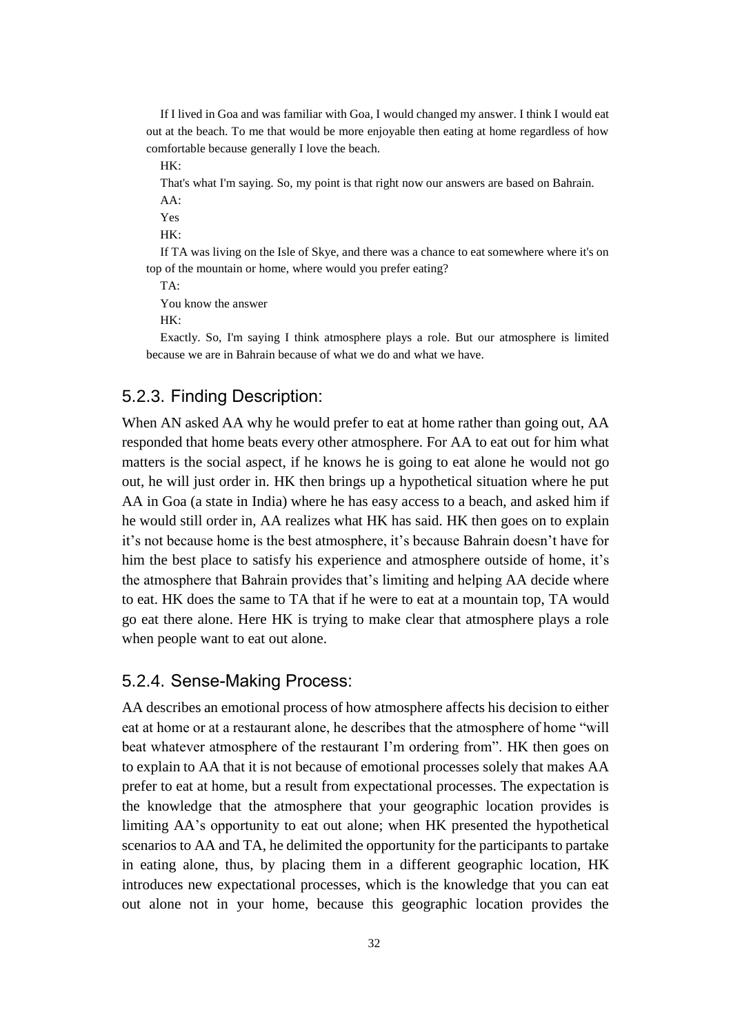If I lived in Goa and was familiar with Goa, I would changed my answer. I think I would eat out at the beach. To me that would be more enjoyable then eating at home regardless of how comfortable because generally I love the beach.

 $HK<sup>1</sup>$ 

That's what I'm saying. So, my point is that right now our answers are based on Bahrain. AA:

Yes

HK:

If TA was living on the Isle of Skye, and there was a chance to eat somewhere where it's on top of the mountain or home, where would you prefer eating?

TA:

You know the answer

 $HK<sup>2</sup>$ 

Exactly. So, I'm saying I think atmosphere plays a role. But our atmosphere is limited because we are in Bahrain because of what we do and what we have.

## <span id="page-31-0"></span>5.2.3. Finding Description:

When AN asked AA why he would prefer to eat at home rather than going out, AA responded that home beats every other atmosphere. For AA to eat out for him what matters is the social aspect, if he knows he is going to eat alone he would not go out, he will just order in. HK then brings up a hypothetical situation where he put AA in Goa (a state in India) where he has easy access to a beach, and asked him if he would still order in, AA realizes what HK has said. HK then goes on to explain it's not because home is the best atmosphere, it's because Bahrain doesn't have for him the best place to satisfy his experience and atmosphere outside of home, it's the atmosphere that Bahrain provides that's limiting and helping AA decide where to eat. HK does the same to TA that if he were to eat at a mountain top, TA would go eat there alone. Here HK is trying to make clear that atmosphere plays a role when people want to eat out alone.

### <span id="page-31-1"></span>5.2.4. Sense-Making Process:

AA describes an emotional process of how atmosphere affects his decision to either eat at home or at a restaurant alone, he describes that the atmosphere of home "will beat whatever atmosphere of the restaurant I'm ordering from". HK then goes on to explain to AA that it is not because of emotional processes solely that makes AA prefer to eat at home, but a result from expectational processes. The expectation is the knowledge that the atmosphere that your geographic location provides is limiting AA's opportunity to eat out alone; when HK presented the hypothetical scenarios to AA and TA, he delimited the opportunity for the participants to partake in eating alone, thus, by placing them in a different geographic location, HK introduces new expectational processes, which is the knowledge that you can eat out alone not in your home, because this geographic location provides the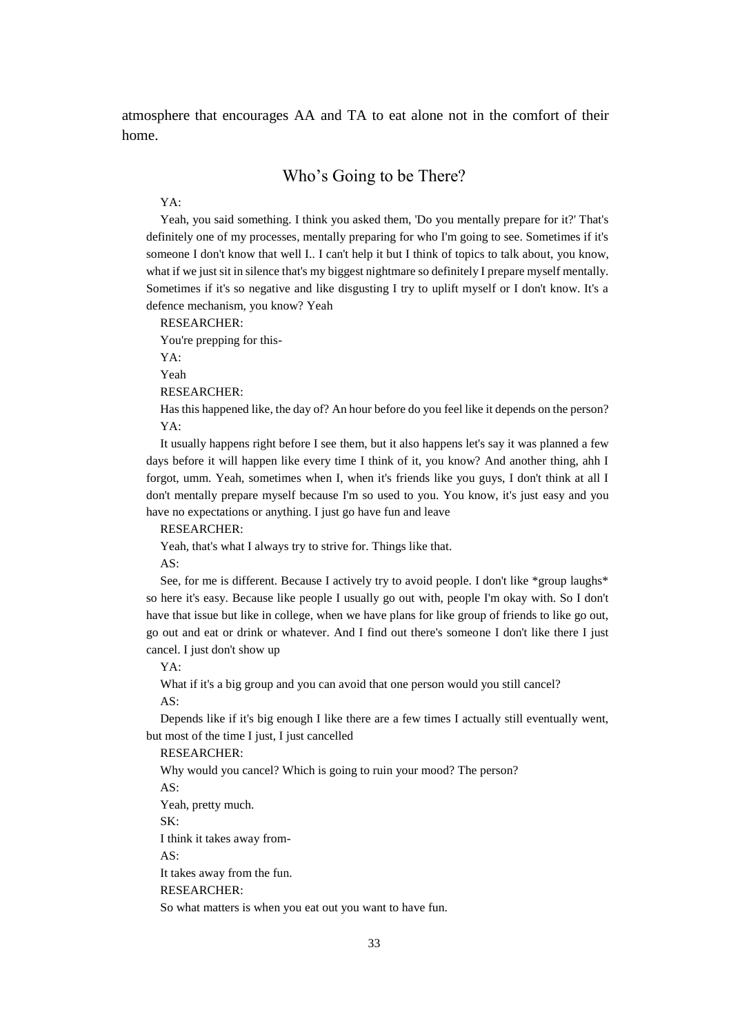<span id="page-32-0"></span>atmosphere that encourages AA and TA to eat alone not in the comfort of their home.

### Who's Going to be There?

#### YA:

Yeah, you said something. I think you asked them, 'Do you mentally prepare for it?' That's definitely one of my processes, mentally preparing for who I'm going to see. Sometimes if it's someone I don't know that well I.. I can't help it but I think of topics to talk about, you know, what if we just sit in silence that's my biggest nightmare so definitely I prepare myself mentally. Sometimes if it's so negative and like disgusting I try to uplift myself or I don't know. It's a defence mechanism, you know? Yeah

RESEARCHER:

You're prepping for this-

YA:

Yeah

RESEARCHER:

Has this happened like, the day of? An hour before do you feel like it depends on the person? YA:

It usually happens right before I see them, but it also happens let's say it was planned a few days before it will happen like every time I think of it, you know? And another thing, ahh I forgot, umm. Yeah, sometimes when I, when it's friends like you guys, I don't think at all I don't mentally prepare myself because I'm so used to you. You know, it's just easy and you have no expectations or anything. I just go have fun and leave

#### RESEARCHER:

Yeah, that's what I always try to strive for. Things like that.

AS:

See, for me is different. Because I actively try to avoid people. I don't like \*group laughs\* so here it's easy. Because like people I usually go out with, people I'm okay with. So I don't have that issue but like in college, when we have plans for like group of friends to like go out, go out and eat or drink or whatever. And I find out there's someone I don't like there I just cancel. I just don't show up

YA:

What if it's a big group and you can avoid that one person would you still cancel? AS:

Depends like if it's big enough I like there are a few times I actually still eventually went, but most of the time I just, I just cancelled

RESEARCHER:

Why would you cancel? Which is going to ruin your mood? The person?

AS:

Yeah, pretty much.

SK:

I think it takes away from-

AS:

It takes away from the fun.

RESEARCHER:

So what matters is when you eat out you want to have fun.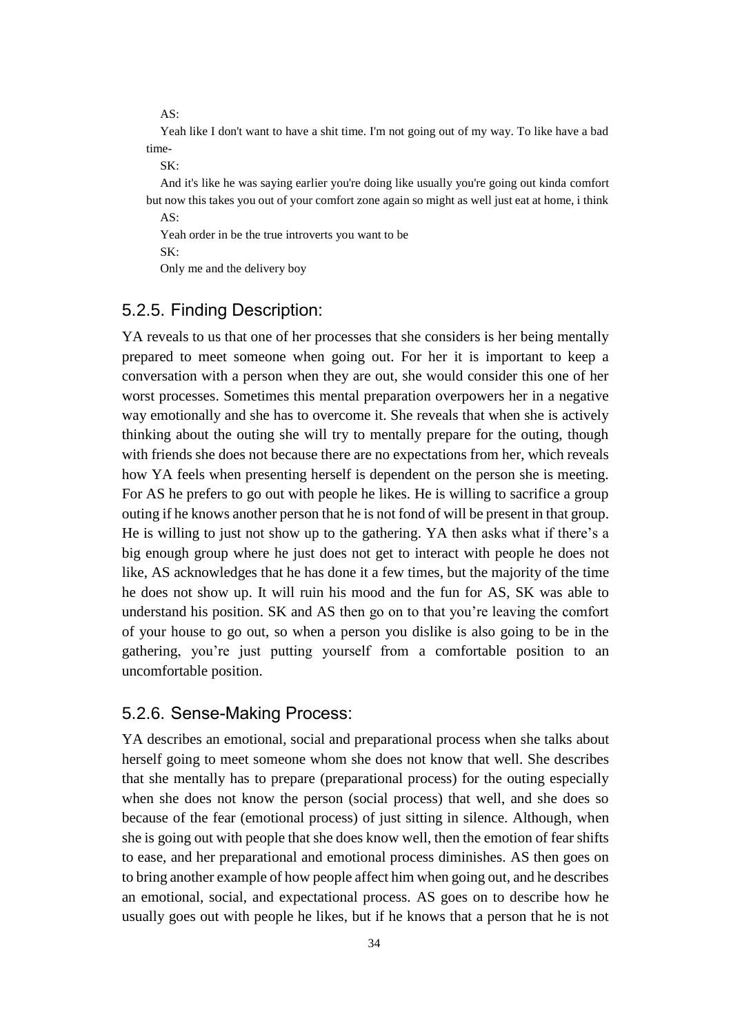AS:

Yeah like I don't want to have a shit time. I'm not going out of my way. To like have a bad time-

 $SK<sup>2</sup>$ 

And it's like he was saying earlier you're doing like usually you're going out kinda comfort but now this takes you out of your comfort zone again so might as well just eat at home, i think  $AS^{\dagger}$ 

Yeah order in be the true introverts you want to be SK: Only me and the delivery boy

## <span id="page-33-0"></span>5.2.5. Finding Description:

YA reveals to us that one of her processes that she considers is her being mentally prepared to meet someone when going out. For her it is important to keep a conversation with a person when they are out, she would consider this one of her worst processes. Sometimes this mental preparation overpowers her in a negative way emotionally and she has to overcome it. She reveals that when she is actively thinking about the outing she will try to mentally prepare for the outing, though with friends she does not because there are no expectations from her, which reveals how YA feels when presenting herself is dependent on the person she is meeting. For AS he prefers to go out with people he likes. He is willing to sacrifice a group outing if he knows another person that he is not fond of will be present in that group. He is willing to just not show up to the gathering. YA then asks what if there's a big enough group where he just does not get to interact with people he does not like, AS acknowledges that he has done it a few times, but the majority of the time he does not show up. It will ruin his mood and the fun for AS, SK was able to understand his position. SK and AS then go on to that you're leaving the comfort of your house to go out, so when a person you dislike is also going to be in the gathering, you're just putting yourself from a comfortable position to an uncomfortable position.

#### <span id="page-33-1"></span>5.2.6. Sense-Making Process:

YA describes an emotional, social and preparational process when she talks about herself going to meet someone whom she does not know that well. She describes that she mentally has to prepare (preparational process) for the outing especially when she does not know the person (social process) that well, and she does so because of the fear (emotional process) of just sitting in silence. Although, when she is going out with people that she does know well, then the emotion of fear shifts to ease, and her preparational and emotional process diminishes. AS then goes on to bring another example of how people affect him when going out, and he describes an emotional, social, and expectational process. AS goes on to describe how he usually goes out with people he likes, but if he knows that a person that he is not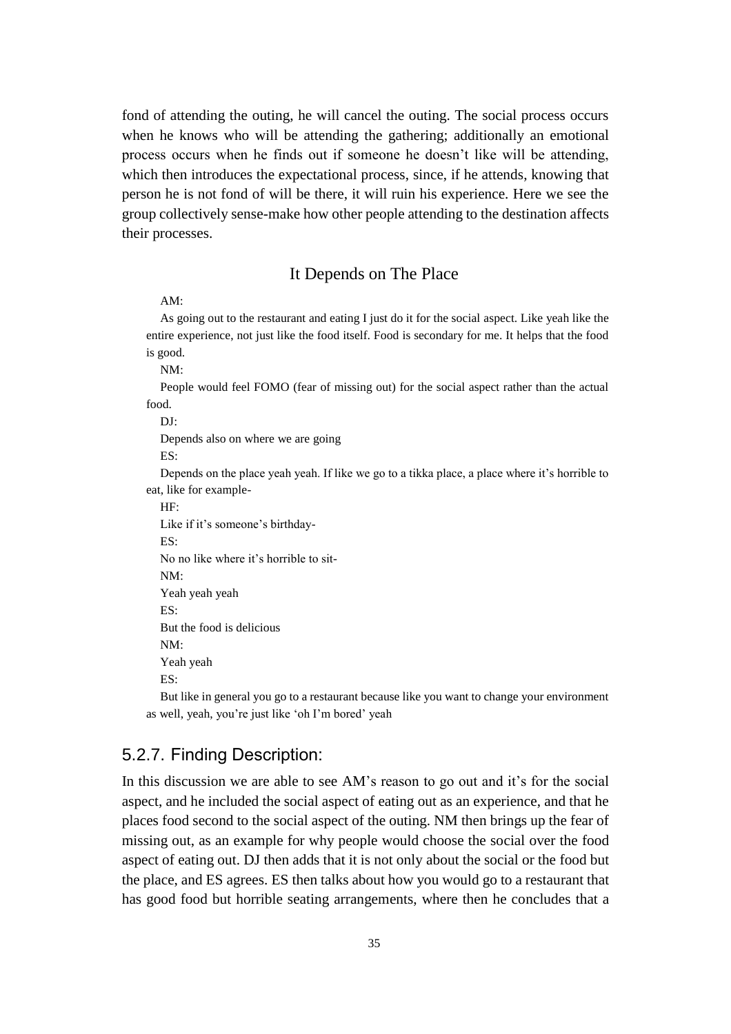fond of attending the outing, he will cancel the outing. The social process occurs when he knows who will be attending the gathering; additionally an emotional process occurs when he finds out if someone he doesn't like will be attending, which then introduces the expectational process, since, if he attends, knowing that person he is not fond of will be there, it will ruin his experience. Here we see the group collectively sense-make how other people attending to the destination affects their processes.

### It Depends on The Place

#### <span id="page-34-0"></span>AM:

As going out to the restaurant and eating I just do it for the social aspect. Like yeah like the entire experience, not just like the food itself. Food is secondary for me. It helps that the food is good.

NM:

People would feel FOMO (fear of missing out) for the social aspect rather than the actual food.

DJ:

Depends also on where we are going

ES:

Depends on the place yeah yeah. If like we go to a tikka place, a place where it's horrible to eat, like for example-

HF:

Like if it's someone's birthday- $ES$ No no like where it's horrible to sit-NM: Yeah yeah yeah ES: But the food is delicious  $NM<sup>1</sup>$ Yeah yeah ES:

But like in general you go to a restaurant because like you want to change your environment as well, yeah, you're just like 'oh I'm bored' yeah

## <span id="page-34-1"></span>5.2.7. Finding Description:

In this discussion we are able to see AM's reason to go out and it's for the social aspect, and he included the social aspect of eating out as an experience, and that he places food second to the social aspect of the outing. NM then brings up the fear of missing out, as an example for why people would choose the social over the food aspect of eating out. DJ then adds that it is not only about the social or the food but the place, and ES agrees. ES then talks about how you would go to a restaurant that has good food but horrible seating arrangements, where then he concludes that a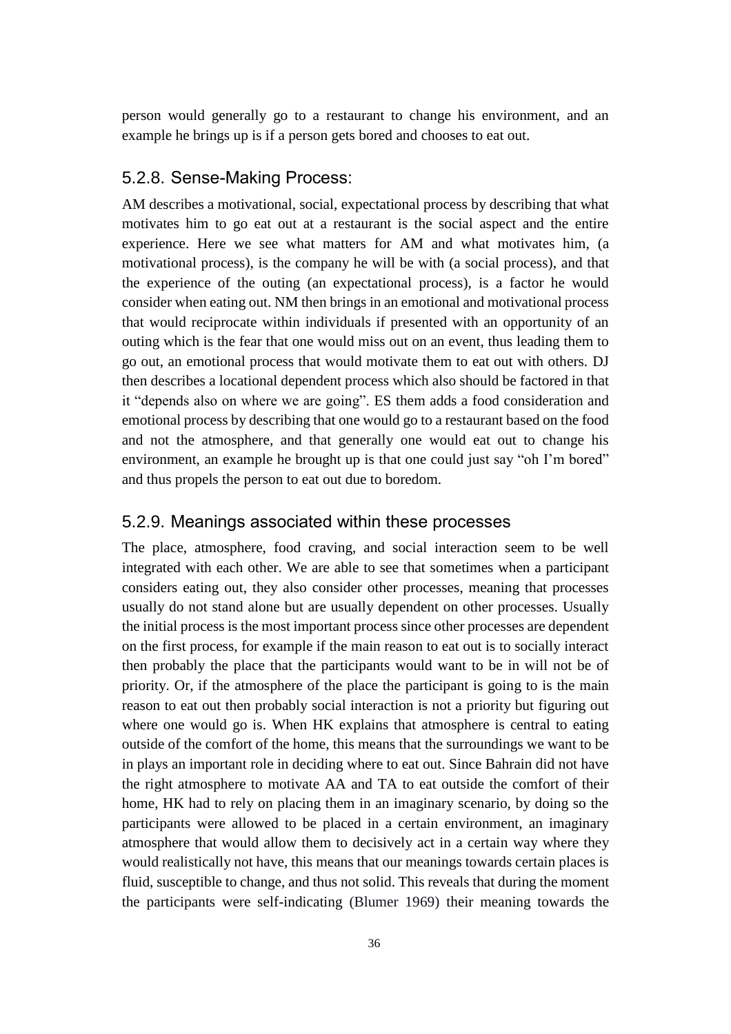person would generally go to a restaurant to change his environment, and an example he brings up is if a person gets bored and chooses to eat out.

### <span id="page-35-0"></span>5.2.8. Sense-Making Process:

AM describes a motivational, social, expectational process by describing that what motivates him to go eat out at a restaurant is the social aspect and the entire experience. Here we see what matters for AM and what motivates him, (a motivational process), is the company he will be with (a social process), and that the experience of the outing (an expectational process), is a factor he would consider when eating out. NM then brings in an emotional and motivational process that would reciprocate within individuals if presented with an opportunity of an outing which is the fear that one would miss out on an event, thus leading them to go out, an emotional process that would motivate them to eat out with others. DJ then describes a locational dependent process which also should be factored in that it "depends also on where we are going". ES them adds a food consideration and emotional process by describing that one would go to a restaurant based on the food and not the atmosphere, and that generally one would eat out to change his environment, an example he brought up is that one could just say "oh I'm bored" and thus propels the person to eat out due to boredom.

### <span id="page-35-1"></span>5.2.9. Meanings associated within these processes

The place, atmosphere, food craving, and social interaction seem to be well integrated with each other. We are able to see that sometimes when a participant considers eating out, they also consider other processes, meaning that processes usually do not stand alone but are usually dependent on other processes. Usually the initial process is the most important process since other processes are dependent on the first process, for example if the main reason to eat out is to socially interact then probably the place that the participants would want to be in will not be of priority. Or, if the atmosphere of the place the participant is going to is the main reason to eat out then probably social interaction is not a priority but figuring out where one would go is. When HK explains that atmosphere is central to eating outside of the comfort of the home, this means that the surroundings we want to be in plays an important role in deciding where to eat out. Since Bahrain did not have the right atmosphere to motivate AA and TA to eat outside the comfort of their home, HK had to rely on placing them in an imaginary scenario, by doing so the participants were allowed to be placed in a certain environment, an imaginary atmosphere that would allow them to decisively act in a certain way where they would realistically not have, this means that our meanings towards certain places is fluid, susceptible to change, and thus not solid. This reveals that during the moment the participants were self-indicating (Blumer 1969) their meaning towards the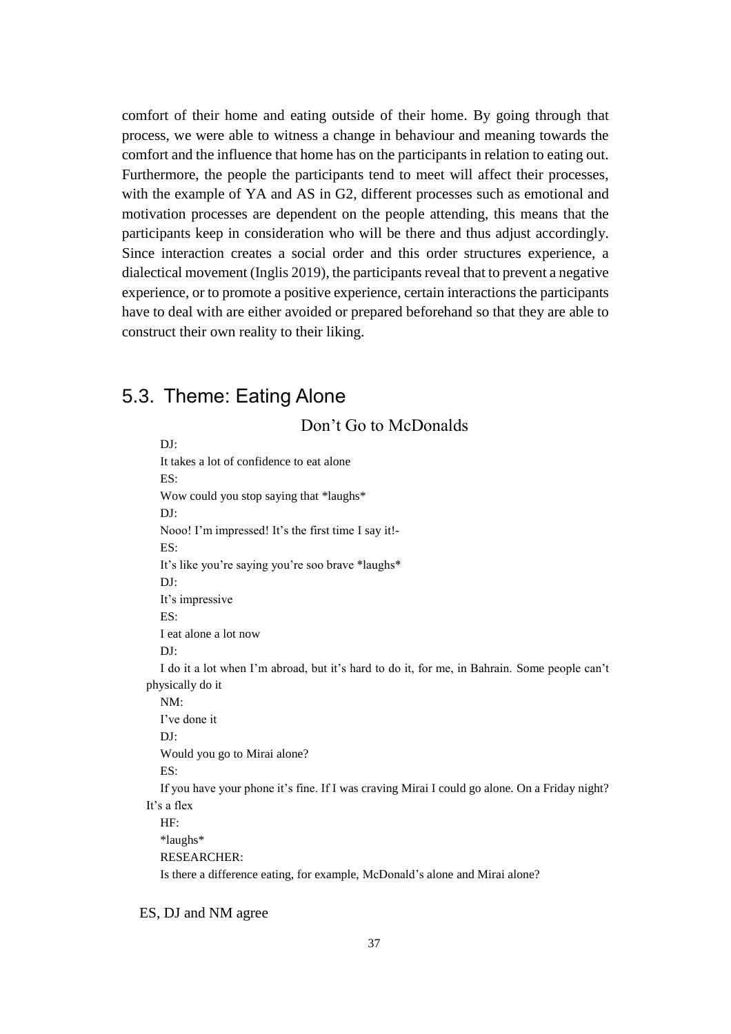comfort of their home and eating outside of their home. By going through that process, we were able to witness a change in behaviour and meaning towards the comfort and the influence that home has on the participants in relation to eating out. Furthermore, the people the participants tend to meet will affect their processes, with the example of YA and AS in G2, different processes such as emotional and motivation processes are dependent on the people attending, this means that the participants keep in consideration who will be there and thus adjust accordingly. Since interaction creates a social order and this order structures experience, a dialectical movement (Inglis 2019), the participants reveal that to prevent a negative experience, or to promote a positive experience, certain interactions the participants have to deal with are either avoided or prepared beforehand so that they are able to construct their own reality to their liking.

## <span id="page-36-0"></span>5.3. Theme: Eating Alone

DJ: It takes a lot of confidence to eat alone ES: Wow could you stop saying that \*laughs\* DJ: Nooo! I'm impressed! It's the first time I say it!- ES: It's like you're saying you're soo brave \*laughs\* DJ: It's impressive ES: I eat alone a lot now  $DI^{\dagger}$ I do it a lot when I'm abroad, but it's hard to do it, for me, in Bahrain. Some people can't physically do it NM: I've done it DJ: Would you go to Mirai alone? ES: If you have your phone it's fine. If I was craving Mirai I could go alone. On a Friday night? It's a flex HF: \*laughs\* RESEARCHER: Is there a difference eating, for example, McDonald's alone and Mirai alone?

Don't Go to McDonalds

#### ES, DJ and NM agree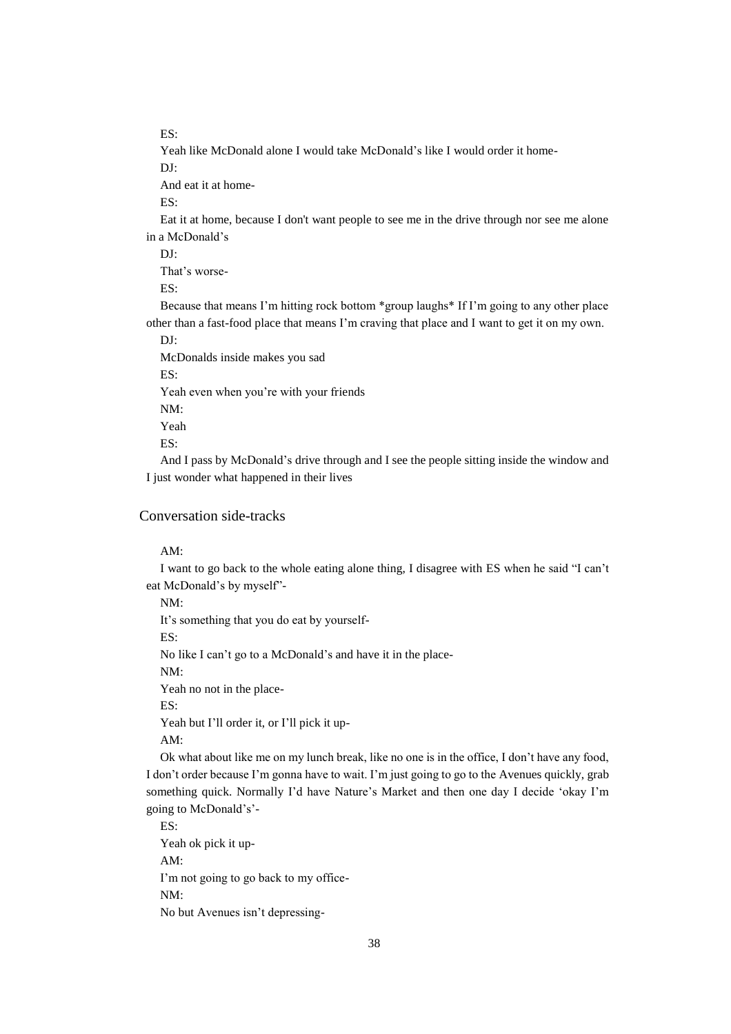ES:

Yeah like McDonald alone I would take McDonald's like I would order it home-

DJ:

And eat it at home-

ES:

Eat it at home, because I don't want people to see me in the drive through nor see me alone in a McDonald's

 $\mathbf{D}$ 

That's worse-

ES:

Because that means I'm hitting rock bottom \*group laughs\* If I'm going to any other place other than a fast-food place that means I'm craving that place and I want to get it on my own.

DJ:

McDonalds inside makes you sad

ES:

Yeah even when you're with your friends

NM:

Yeah

ES:

And I pass by McDonald's drive through and I see the people sitting inside the window and I just wonder what happened in their lives

#### Conversation side-tracks

#### AM:

I want to go back to the whole eating alone thing, I disagree with ES when he said "I can't eat McDonald's by myself"-

NM:

It's something that you do eat by yourself-

ES:

No like I can't go to a McDonald's and have it in the place-

NM:

Yeah no not in the place-

ES:

Yeah but I'll order it, or I'll pick it up-

AM:

Ok what about like me on my lunch break, like no one is in the office, I don't have any food, I don't order because I'm gonna have to wait. I'm just going to go to the Avenues quickly, grab something quick. Normally I'd have Nature's Market and then one day I decide 'okay I'm going to McDonald's'-

ES: Yeah ok pick it up-AM: I'm not going to go back to my office-NM: No but Avenues isn't depressing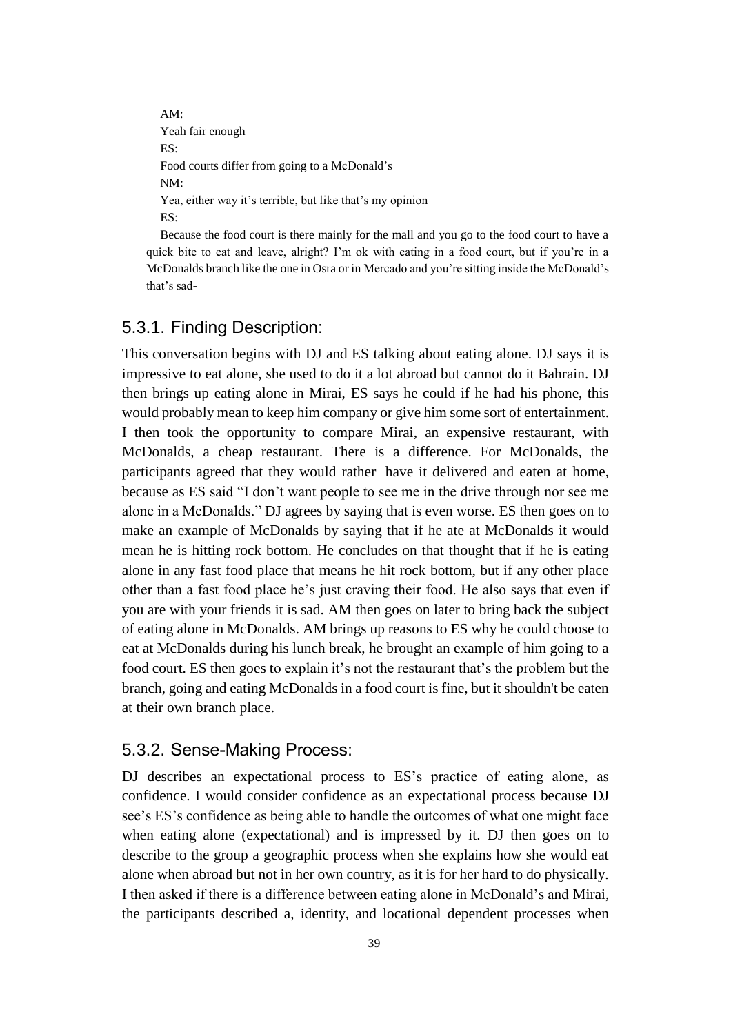AM: Yeah fair enough ES: Food courts differ from going to a McDonald's NM: Yea, either way it's terrible, but like that's my opinion ES:

Because the food court is there mainly for the mall and you go to the food court to have a quick bite to eat and leave, alright? I'm ok with eating in a food court, but if you're in a McDonalds branch like the one in Osra or in Mercado and you're sitting inside the McDonald's that's sad-

## <span id="page-38-0"></span>5.3.1. Finding Description:

This conversation begins with DJ and ES talking about eating alone. DJ says it is impressive to eat alone, she used to do it a lot abroad but cannot do it Bahrain. DJ then brings up eating alone in Mirai, ES says he could if he had his phone, this would probably mean to keep him company or give him some sort of entertainment. I then took the opportunity to compare Mirai, an expensive restaurant, with McDonalds, a cheap restaurant. There is a difference. For McDonalds, the participants agreed that they would rather have it delivered and eaten at home, because as ES said "I don't want people to see me in the drive through nor see me alone in a McDonalds." DJ agrees by saying that is even worse. ES then goes on to make an example of McDonalds by saying that if he ate at McDonalds it would mean he is hitting rock bottom. He concludes on that thought that if he is eating alone in any fast food place that means he hit rock bottom, but if any other place other than a fast food place he's just craving their food. He also says that even if you are with your friends it is sad. AM then goes on later to bring back the subject of eating alone in McDonalds. AM brings up reasons to ES why he could choose to eat at McDonalds during his lunch break, he brought an example of him going to a food court. ES then goes to explain it's not the restaurant that's the problem but the branch, going and eating McDonalds in a food court is fine, but it shouldn't be eaten at their own branch place.

#### <span id="page-38-1"></span>5.3.2. Sense-Making Process:

DJ describes an expectational process to ES's practice of eating alone, as confidence. I would consider confidence as an expectational process because DJ see's ES's confidence as being able to handle the outcomes of what one might face when eating alone (expectational) and is impressed by it. DJ then goes on to describe to the group a geographic process when she explains how she would eat alone when abroad but not in her own country, as it is for her hard to do physically. I then asked if there is a difference between eating alone in McDonald's and Mirai, the participants described a, identity, and locational dependent processes when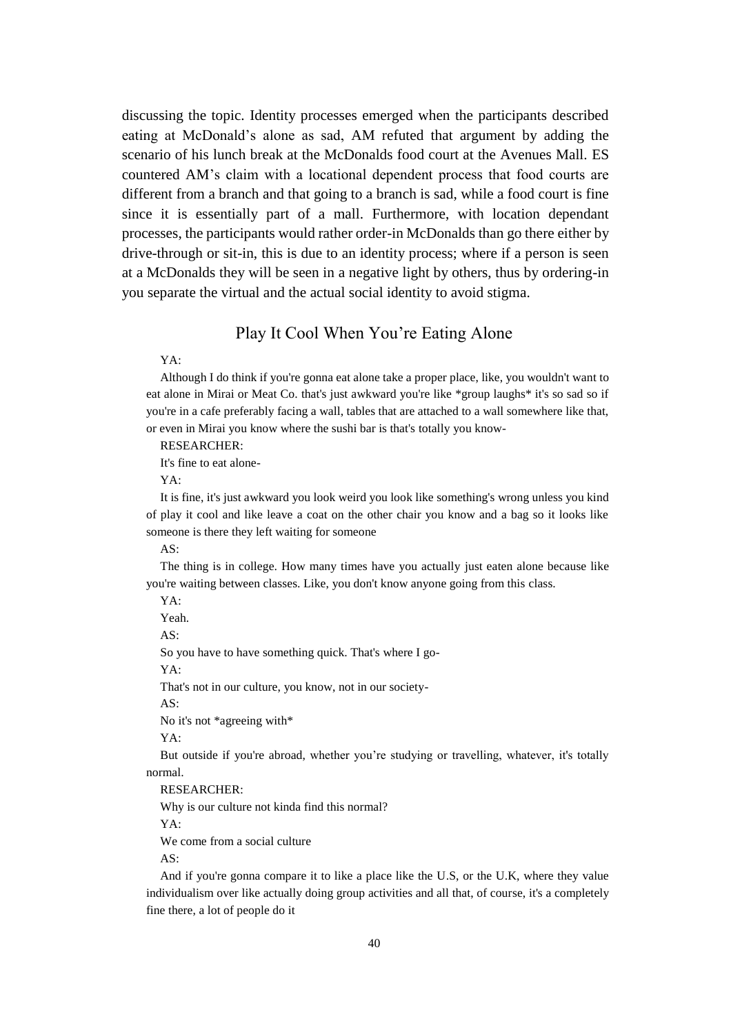discussing the topic. Identity processes emerged when the participants described eating at McDonald's alone as sad, AM refuted that argument by adding the scenario of his lunch break at the McDonalds food court at the Avenues Mall. ES countered AM's claim with a locational dependent process that food courts are different from a branch and that going to a branch is sad, while a food court is fine since it is essentially part of a mall. Furthermore, with location dependant processes, the participants would rather order-in McDonalds than go there either by drive-through or sit-in, this is due to an identity process; where if a person is seen at a McDonalds they will be seen in a negative light by others, thus by ordering-in you separate the virtual and the actual social identity to avoid stigma.

### Play It Cool When You're Eating Alone

<span id="page-39-0"></span>YA:

Although I do think if you're gonna eat alone take a proper place, like, you wouldn't want to eat alone in Mirai or Meat Co. that's just awkward you're like \*group laughs\* it's so sad so if you're in a cafe preferably facing a wall, tables that are attached to a wall somewhere like that, or even in Mirai you know where the sushi bar is that's totally you know-

RESEARCHER:

It's fine to eat alone-

YA:

It is fine, it's just awkward you look weird you look like something's wrong unless you kind of play it cool and like leave a coat on the other chair you know and a bag so it looks like someone is there they left waiting for someone

AS:

The thing is in college. How many times have you actually just eaten alone because like you're waiting between classes. Like, you don't know anyone going from this class.

YA:

Yeah.

AS:

So you have to have something quick. That's where I go-

YA:

That's not in our culture, you know, not in our society-

AS:

No it's not \*agreeing with\*

YA:

But outside if you're abroad, whether you're studying or travelling, whatever, it's totally normal.

RESEARCHER:

Why is our culture not kinda find this normal?

YA:

We come from a social culture

AS:

And if you're gonna compare it to like a place like the U.S, or the U.K, where they value individualism over like actually doing group activities and all that, of course, it's a completely fine there, a lot of people do it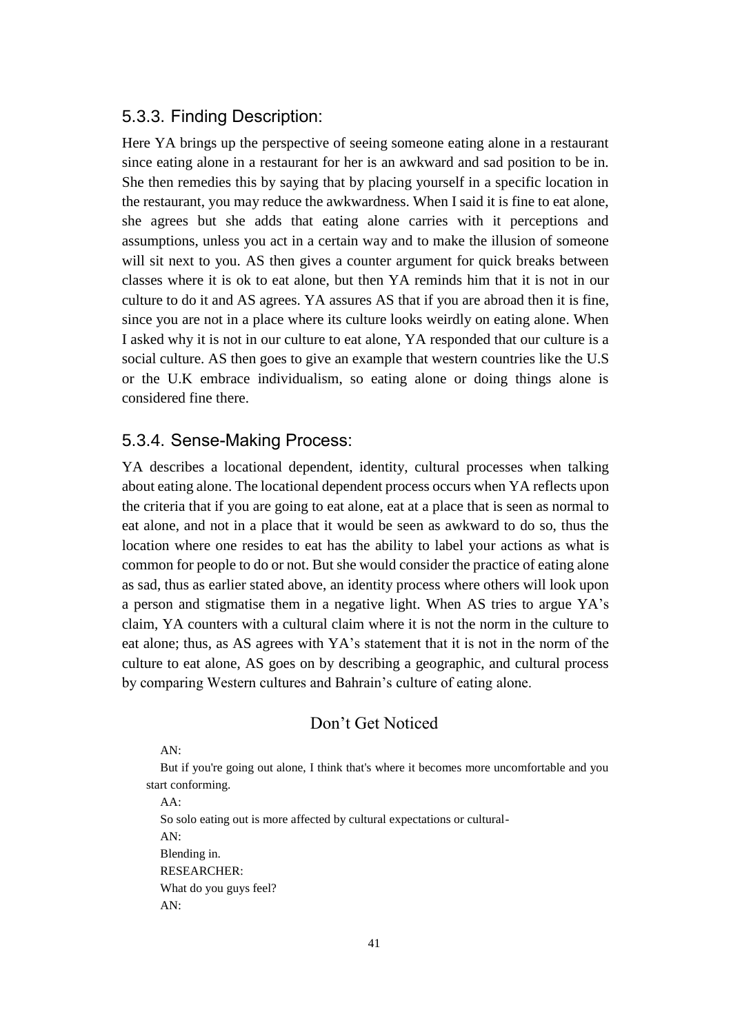## <span id="page-40-0"></span>5.3.3. Finding Description:

Here YA brings up the perspective of seeing someone eating alone in a restaurant since eating alone in a restaurant for her is an awkward and sad position to be in. She then remedies this by saying that by placing yourself in a specific location in the restaurant, you may reduce the awkwardness. When I said it is fine to eat alone, she agrees but she adds that eating alone carries with it perceptions and assumptions, unless you act in a certain way and to make the illusion of someone will sit next to you. AS then gives a counter argument for quick breaks between classes where it is ok to eat alone, but then YA reminds him that it is not in our culture to do it and AS agrees. YA assures AS that if you are abroad then it is fine, since you are not in a place where its culture looks weirdly on eating alone. When I asked why it is not in our culture to eat alone, YA responded that our culture is a social culture. AS then goes to give an example that western countries like the U.S or the U.K embrace individualism, so eating alone or doing things alone is considered fine there.

### <span id="page-40-1"></span>5.3.4. Sense-Making Process:

YA describes a locational dependent, identity, cultural processes when talking about eating alone. The locational dependent process occurs when YA reflects upon the criteria that if you are going to eat alone, eat at a place that is seen as normal to eat alone, and not in a place that it would be seen as awkward to do so, thus the location where one resides to eat has the ability to label your actions as what is common for people to do or not. But she would consider the practice of eating alone as sad, thus as earlier stated above, an identity process where others will look upon a person and stigmatise them in a negative light. When AS tries to argue YA's claim, YA counters with a cultural claim where it is not the norm in the culture to eat alone; thus, as AS agrees with YA's statement that it is not in the norm of the culture to eat alone, AS goes on by describing a geographic, and cultural process by comparing Western cultures and Bahrain's culture of eating alone.

## Don't Get Noticed

<span id="page-40-2"></span>AN:

But if you're going out alone, I think that's where it becomes more uncomfortable and you start conforming.

AA:

So solo eating out is more affected by cultural expectations or cultural-AN: Blending in. RESEARCHER: What do you guys feel? AN: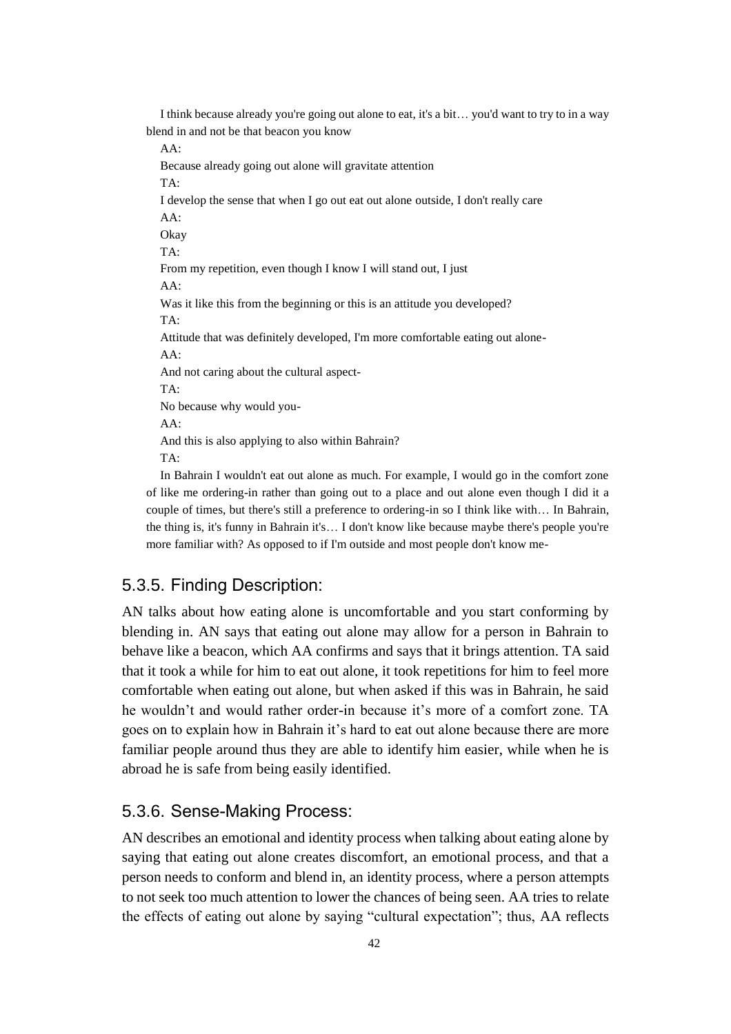I think because already you're going out alone to eat, it's a bit… you'd want to try to in a way blend in and not be that beacon you know

AA:

Because already going out alone will gravitate attention TA: I develop the sense that when I go out eat out alone outside, I don't really care AA: Okay TA: From my repetition, even though I know I will stand out, I just AA: Was it like this from the beginning or this is an attitude you developed? TA: Attitude that was definitely developed, I'm more comfortable eating out alone-AA: And not caring about the cultural aspect-TA: No because why would you-AA: And this is also applying to also within Bahrain? TA: In Bahrain I wouldn't eat out alone as much. For example, I would go in the comfort zone

of like me ordering-in rather than going out to a place and out alone even though I did it a couple of times, but there's still a preference to ordering-in so I think like with… In Bahrain, the thing is, it's funny in Bahrain it's… I don't know like because maybe there's people you're more familiar with? As opposed to if I'm outside and most people don't know me-

## <span id="page-41-0"></span>5.3.5. Finding Description:

AN talks about how eating alone is uncomfortable and you start conforming by blending in. AN says that eating out alone may allow for a person in Bahrain to behave like a beacon, which AA confirms and says that it brings attention. TA said that it took a while for him to eat out alone, it took repetitions for him to feel more comfortable when eating out alone, but when asked if this was in Bahrain, he said he wouldn't and would rather order-in because it's more of a comfort zone. TA goes on to explain how in Bahrain it's hard to eat out alone because there are more familiar people around thus they are able to identify him easier, while when he is abroad he is safe from being easily identified.

## <span id="page-41-1"></span>5.3.6. Sense-Making Process:

AN describes an emotional and identity process when talking about eating alone by saying that eating out alone creates discomfort, an emotional process, and that a person needs to conform and blend in, an identity process, where a person attempts to not seek too much attention to lower the chances of being seen. AA tries to relate the effects of eating out alone by saying "cultural expectation"; thus, AA reflects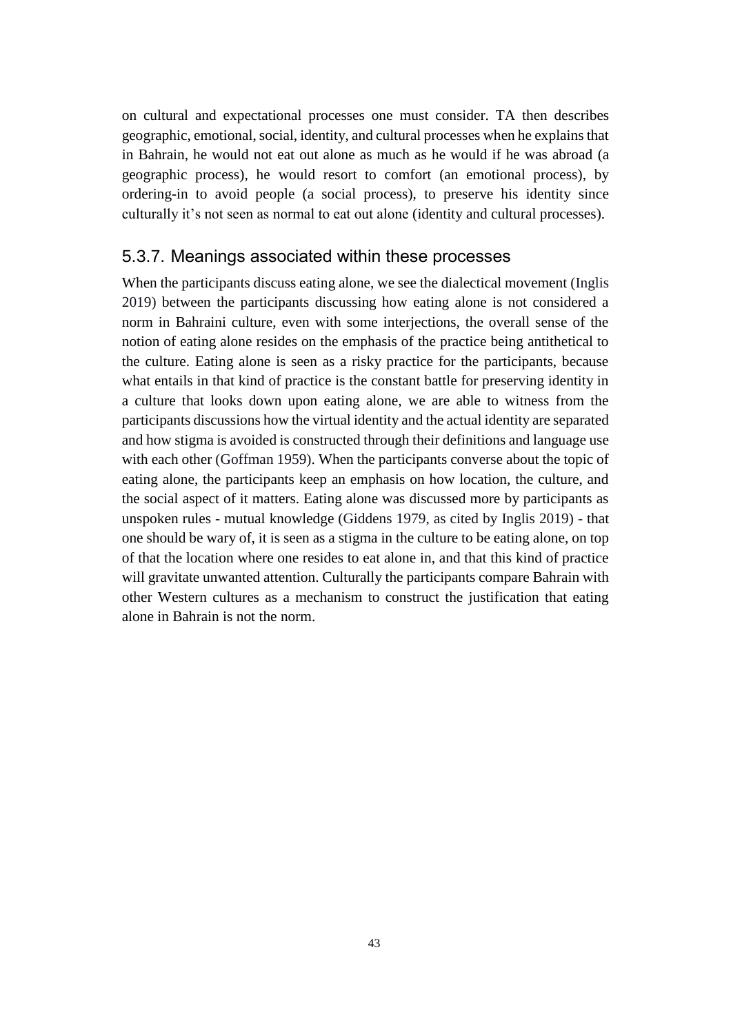on cultural and expectational processes one must consider. TA then describes geographic, emotional, social, identity, and cultural processes when he explains that in Bahrain, he would not eat out alone as much as he would if he was abroad (a geographic process), he would resort to comfort (an emotional process), by ordering-in to avoid people (a social process), to preserve his identity since culturally it's not seen as normal to eat out alone (identity and cultural processes).

### <span id="page-42-0"></span>5.3.7. Meanings associated within these processes

When the participants discuss eating alone, we see the dialectical movement (Inglis 2019) between the participants discussing how eating alone is not considered a norm in Bahraini culture, even with some interjections, the overall sense of the notion of eating alone resides on the emphasis of the practice being antithetical to the culture. Eating alone is seen as a risky practice for the participants, because what entails in that kind of practice is the constant battle for preserving identity in a culture that looks down upon eating alone, we are able to witness from the participants discussions how the virtual identity and the actual identity are separated and how stigma is avoided is constructed through their definitions and language use with each other (Goffman 1959). When the participants converse about the topic of eating alone, the participants keep an emphasis on how location, the culture, and the social aspect of it matters. Eating alone was discussed more by participants as unspoken rules - mutual knowledge (Giddens 1979, as cited by Inglis 2019) - that one should be wary of, it is seen as a stigma in the culture to be eating alone, on top of that the location where one resides to eat alone in, and that this kind of practice will gravitate unwanted attention. Culturally the participants compare Bahrain with other Western cultures as a mechanism to construct the justification that eating alone in Bahrain is not the norm.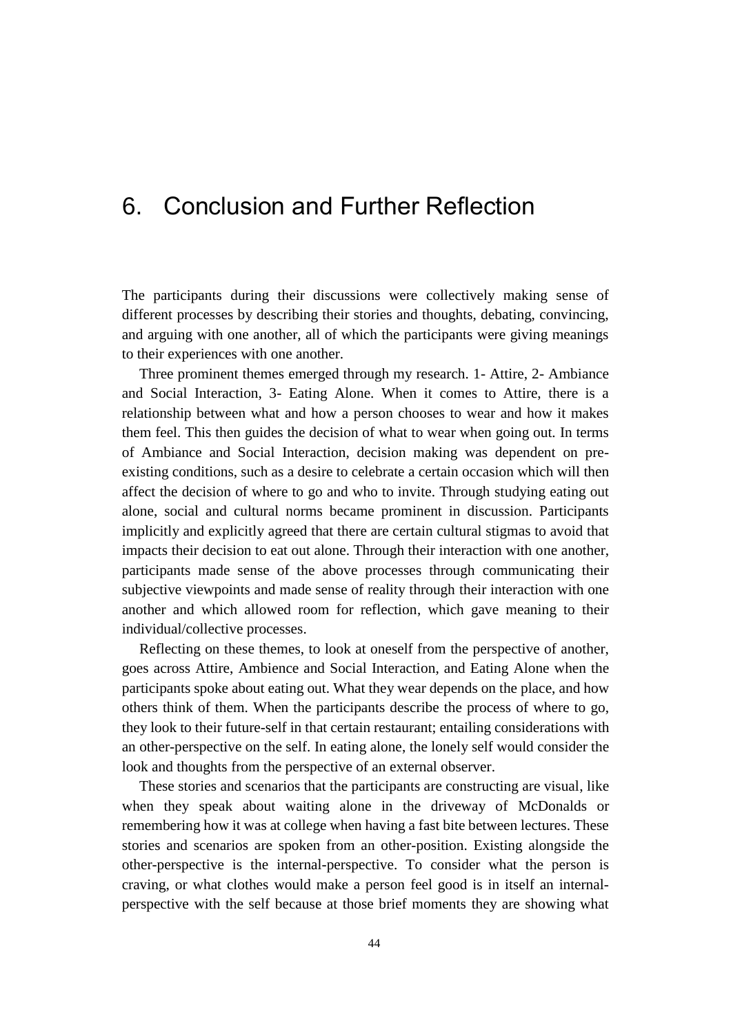## <span id="page-43-0"></span>6. Conclusion and Further Reflection

The participants during their discussions were collectively making sense of different processes by describing their stories and thoughts, debating, convincing, and arguing with one another, all of which the participants were giving meanings to their experiences with one another.

Three prominent themes emerged through my research. 1- Attire, 2- Ambiance and Social Interaction, 3- Eating Alone. When it comes to Attire, there is a relationship between what and how a person chooses to wear and how it makes them feel. This then guides the decision of what to wear when going out. In terms of Ambiance and Social Interaction, decision making was dependent on preexisting conditions, such as a desire to celebrate a certain occasion which will then affect the decision of where to go and who to invite. Through studying eating out alone, social and cultural norms became prominent in discussion. Participants implicitly and explicitly agreed that there are certain cultural stigmas to avoid that impacts their decision to eat out alone. Through their interaction with one another, participants made sense of the above processes through communicating their subjective viewpoints and made sense of reality through their interaction with one another and which allowed room for reflection, which gave meaning to their individual/collective processes.

Reflecting on these themes, to look at oneself from the perspective of another, goes across Attire, Ambience and Social Interaction, and Eating Alone when the participants spoke about eating out. What they wear depends on the place, and how others think of them. When the participants describe the process of where to go, they look to their future-self in that certain restaurant; entailing considerations with an other-perspective on the self. In eating alone, the lonely self would consider the look and thoughts from the perspective of an external observer.

These stories and scenarios that the participants are constructing are visual, like when they speak about waiting alone in the driveway of McDonalds or remembering how it was at college when having a fast bite between lectures. These stories and scenarios are spoken from an other-position. Existing alongside the other-perspective is the internal-perspective. To consider what the person is craving, or what clothes would make a person feel good is in itself an internalperspective with the self because at those brief moments they are showing what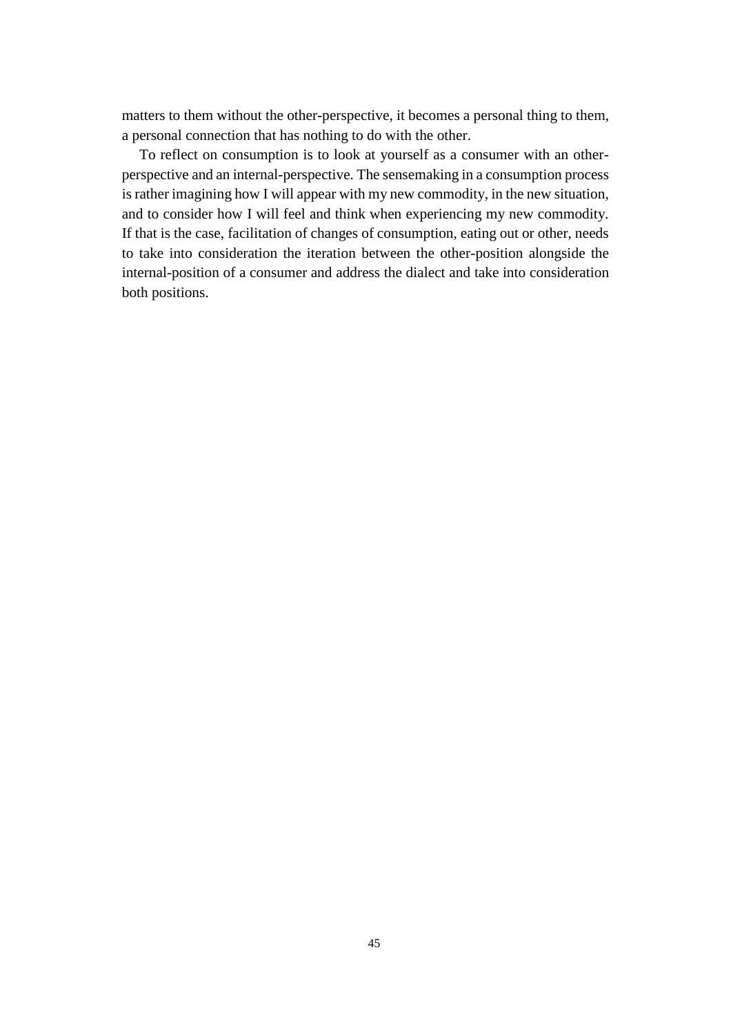matters to them without the other-perspective, it becomes a personal thing to them, a personal connection that has nothing to do with the other.

To reflect on consumption is to look at yourself as a consumer with an otherperspective and an internal-perspective. The sensemaking in a consumption process is rather imagining how I will appear with my new commodity, in the new situation, and to consider how I will feel and think when experiencing my new commodity. If that is the case, facilitation of changes of consumption, eating out or other, needs to take into consideration the iteration between the other-position alongside the internal-position of a consumer and address the dialect and take into consideration both positions.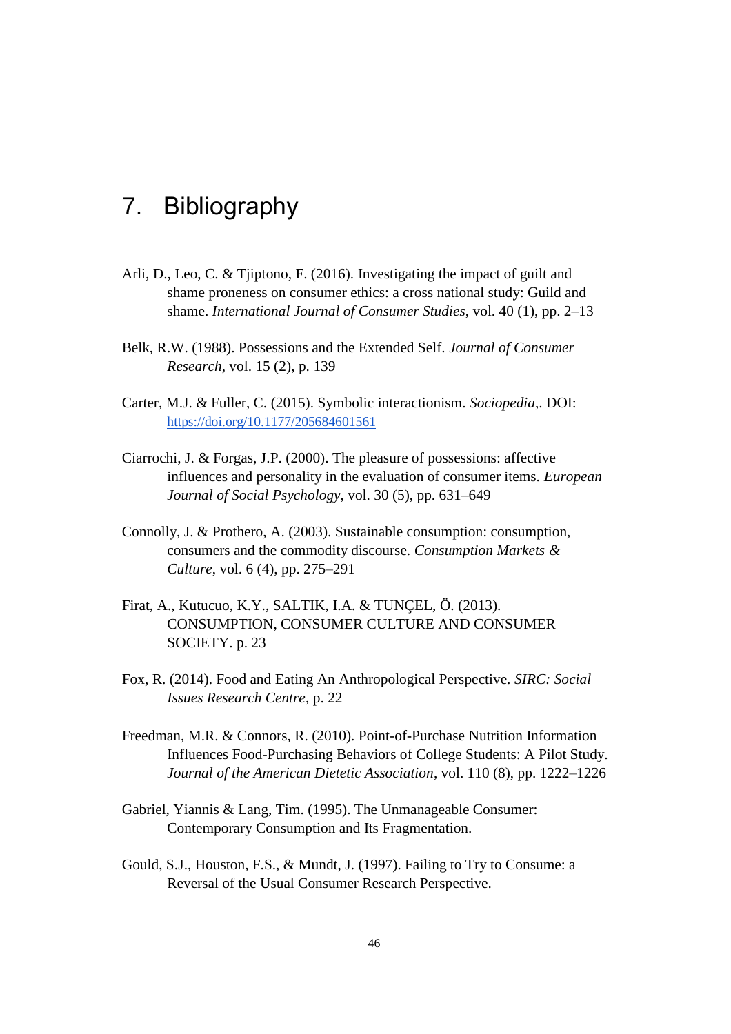## <span id="page-45-0"></span>7. Bibliography

- Arli, D., Leo, C. & Tjiptono, F. (2016). Investigating the impact of guilt and shame proneness on consumer ethics: a cross national study: Guild and shame. *International Journal of Consumer Studies*, vol. 40 (1), pp. 2–13
- Belk, R.W. (1988). Possessions and the Extended Self. *Journal of Consumer Research*, vol. 15 (2), p. 139
- Carter, M.J. & Fuller, C. (2015). Symbolic interactionism. *Sociopedia*,. DOI[:](https://doi.org/10.1177/205684601561) <https://doi.org/10.1177/205684601561>
- Ciarrochi, J. & Forgas, J.P. (2000). The pleasure of possessions: affective influences and personality in the evaluation of consumer items. *European Journal of Social Psychology*, vol. 30 (5), pp. 631–649
- Connolly, J. & Prothero, A. (2003). Sustainable consumption: consumption, consumers and the commodity discourse. *Consumption Markets & Culture*, vol. 6 (4), pp. 275–291
- Firat, A., Kutucuo, K.Y., SALTIK, I.A. & TUNÇEL, Ö. (2013). CONSUMPTION, CONSUMER CULTURE AND CONSUMER SOCIETY. p. 23
- Fox, R. (2014). Food and Eating An Anthropological Perspective. *SIRC: Social Issues Research Centre*, p. 22
- Freedman, M.R. & Connors, R. (2010). Point-of-Purchase Nutrition Information Influences Food-Purchasing Behaviors of College Students: A Pilot Study. *Journal of the American Dietetic Association*, vol. 110 (8), pp. 1222–1226
- Gabriel, Yiannis & Lang, Tim. (1995). The Unmanageable Consumer: Contemporary Consumption and Its Fragmentation.
- Gould, S.J., Houston, F.S., & Mundt, J. (1997). Failing to Try to Consume: a Reversal of the Usual Consumer Research Perspective.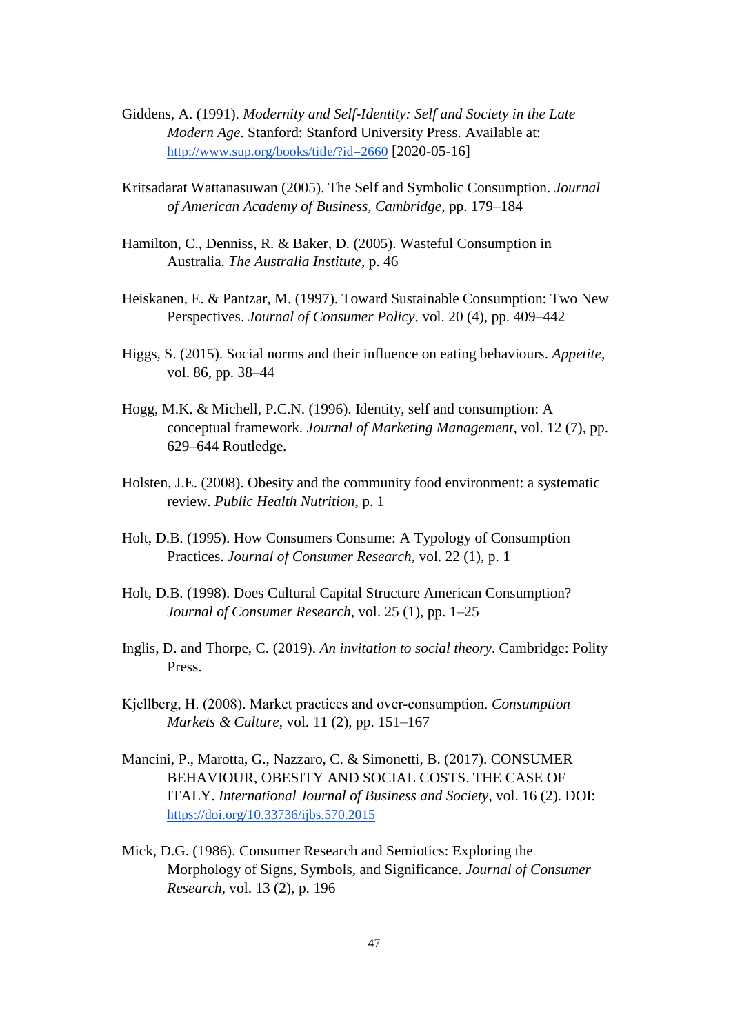- Giddens, A. (1991). *Modernity and Self-Identity: Self and Society in the Late Modern Age*. Stanford: Stanford University Press. Available at[:](http://www.sup.org/books/title/?id=2660) <http://www.sup.org/books/title/?id=2660> [2020-05-16]
- Kritsadarat Wattanasuwan (2005). The Self and Symbolic Consumption. *Journal of American Academy of Business, Cambridge*, pp. 179–184
- Hamilton, C., Denniss, R. & Baker, D. (2005). Wasteful Consumption in Australia. *The Australia Institute*, p. 46
- Heiskanen, E. & Pantzar, M. (1997). Toward Sustainable Consumption: Two New Perspectives. *Journal of Consumer Policy*, vol. 20 (4), pp. 409–442
- Higgs, S. (2015). Social norms and their influence on eating behaviours. *Appetite*, vol. 86, pp. 38–44
- Hogg, M.K. & Michell, P.C.N. (1996). Identity, self and consumption: A conceptual framework. *Journal of Marketing Management*, vol. 12 (7), pp. 629–644 Routledge.
- Holsten, J.E. (2008). Obesity and the community food environment: a systematic review. *Public Health Nutrition*, p. 1
- Holt, D.B. (1995). How Consumers Consume: A Typology of Consumption Practices. *Journal of Consumer Research*, vol. 22 (1), p. 1
- Holt, D.B. (1998). Does Cultural Capital Structure American Consumption? *Journal of Consumer Research*, vol. 25 (1), pp. 1–25
- Inglis, D. and Thorpe, C. (2019). *An invitation to social theory*. Cambridge: Polity Press.
- Kjellberg, H. (2008). Market practices and over‐consumption. *Consumption Markets & Culture*, vol. 11 (2), pp. 151–167
- Mancini, P., Marotta, G., Nazzaro, C. & Simonetti, B. (2017). CONSUMER BEHAVIOUR, OBESITY AND SOCIAL COSTS. THE CASE OF ITALY. *International Journal of Business and Society*, vol. 16 (2). DOI[:](https://doi.org/10.33736/ijbs.570.2015) <https://doi.org/10.33736/ijbs.570.2015>
- Mick, D.G. (1986). Consumer Research and Semiotics: Exploring the Morphology of Signs, Symbols, and Significance. *Journal of Consumer Research*, vol. 13 (2), p. 196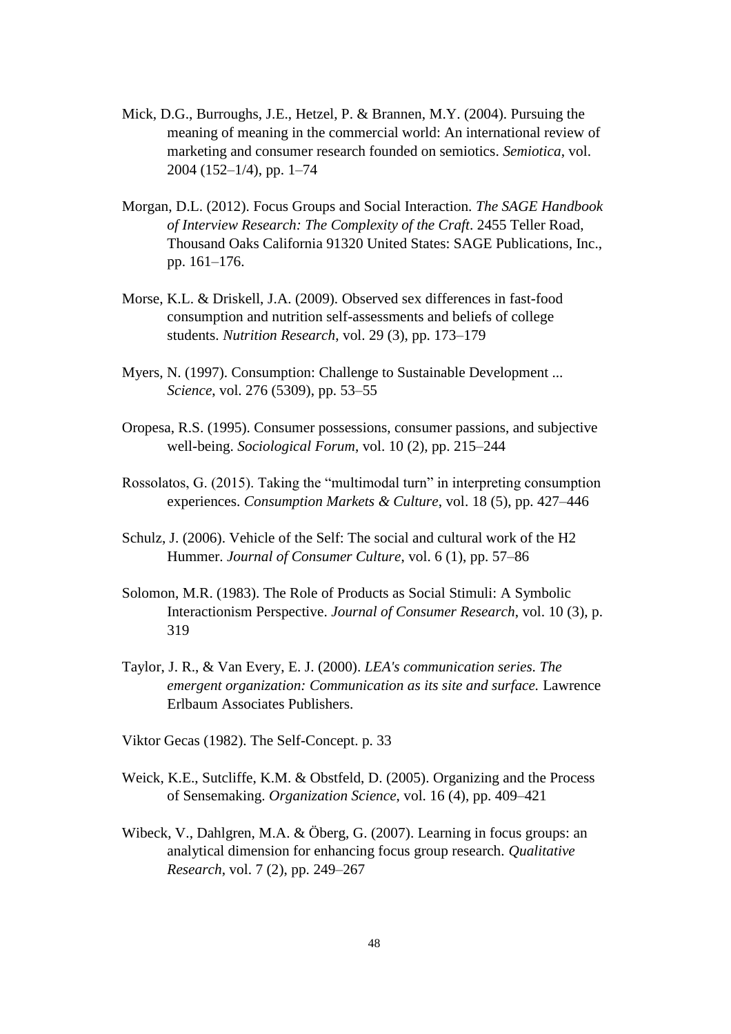- Mick, D.G., Burroughs, J.E., Hetzel, P. & Brannen, M.Y. (2004). Pursuing the meaning of meaning in the commercial world: An international review of marketing and consumer research founded on semiotics. *Semiotica*, vol. 2004 (152–1/4), pp. 1–74
- Morgan, D.L. (2012). Focus Groups and Social Interaction. *The SAGE Handbook of Interview Research: The Complexity of the Craft*. 2455 Teller Road, Thousand Oaks California 91320 United States: SAGE Publications, Inc., pp. 161–176.
- Morse, K.L. & Driskell, J.A. (2009). Observed sex differences in fast-food consumption and nutrition self-assessments and beliefs of college students. *Nutrition Research*, vol. 29 (3), pp. 173–179
- Myers, N. (1997). Consumption: Challenge to Sustainable Development ... *Science*, vol. 276 (5309), pp. 53–55
- Oropesa, R.S. (1995). Consumer possessions, consumer passions, and subjective well-being. *Sociological Forum*, vol. 10 (2), pp. 215–244
- Rossolatos, G. (2015). Taking the "multimodal turn" in interpreting consumption experiences. *Consumption Markets & Culture*, vol. 18 (5), pp. 427–446
- Schulz, J. (2006). Vehicle of the Self: The social and cultural work of the H2 Hummer. *Journal of Consumer Culture*, vol. 6 (1), pp. 57–86
- Solomon, M.R. (1983). The Role of Products as Social Stimuli: A Symbolic Interactionism Perspective. *Journal of Consumer Research*, vol. 10 (3), p. 319
- Taylor, J. R., & Van Every, E. J. (2000). *LEA's communication series. The emergent organization: Communication as its site and surface.* Lawrence Erlbaum Associates Publishers.
- Viktor Gecas (1982). The Self-Concept. p. 33
- Weick, K.E., Sutcliffe, K.M. & Obstfeld, D. (2005). Organizing and the Process of Sensemaking. *Organization Science*, vol. 16 (4), pp. 409–421
- Wibeck, V., Dahlgren, M.A. & Öberg, G. (2007). Learning in focus groups: an analytical dimension for enhancing focus group research. *Qualitative Research*, vol. 7 (2), pp. 249–267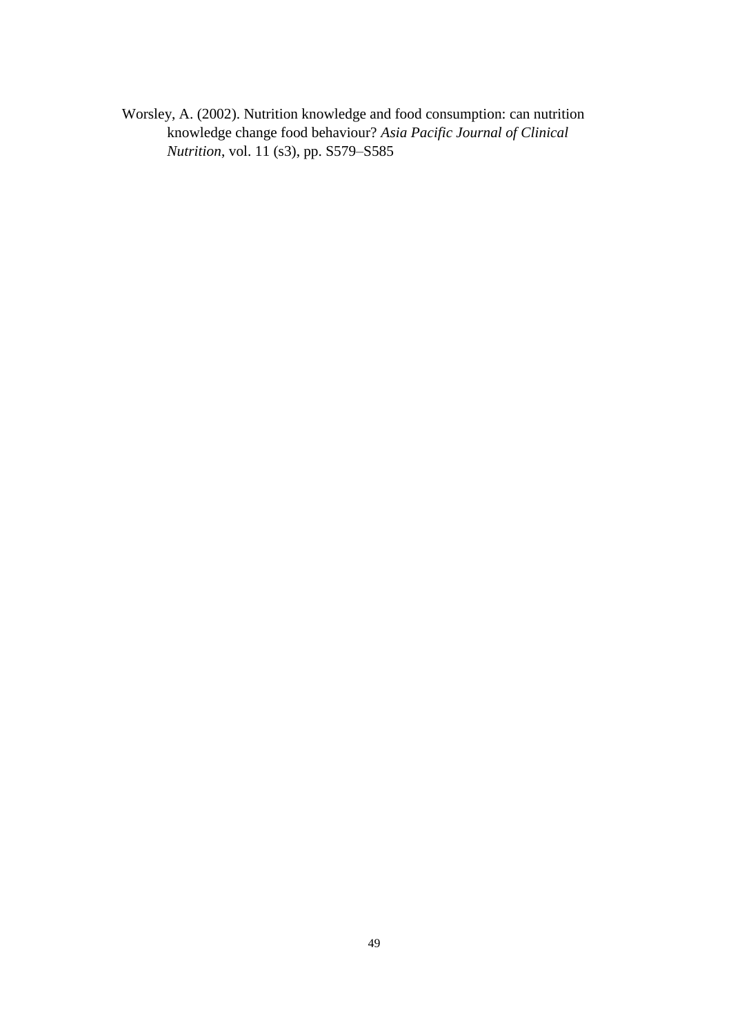Worsley, A. (2002). Nutrition knowledge and food consumption: can nutrition knowledge change food behaviour? *Asia Pacific Journal of Clinical Nutrition*, vol. 11 (s3), pp. S579–S585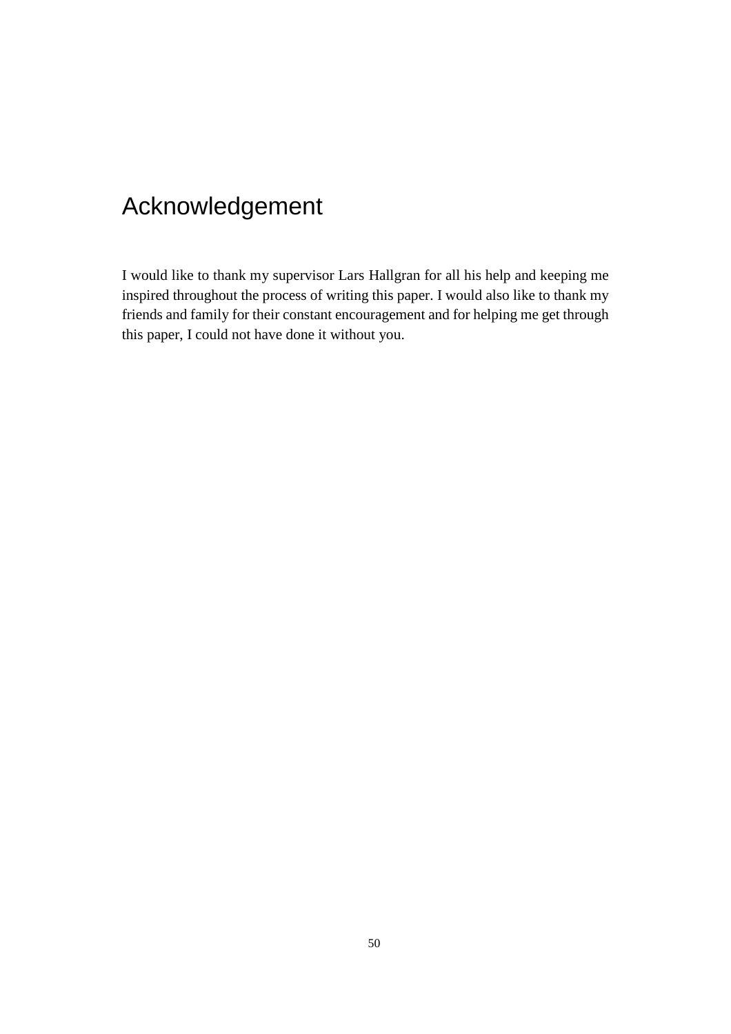## Acknowledgement

I would like to thank my supervisor Lars Hallgran for all his help and keeping me inspired throughout the process of writing this paper. I would also like to thank my friends and family for their constant encouragement and for helping me get through this paper, I could not have done it without you.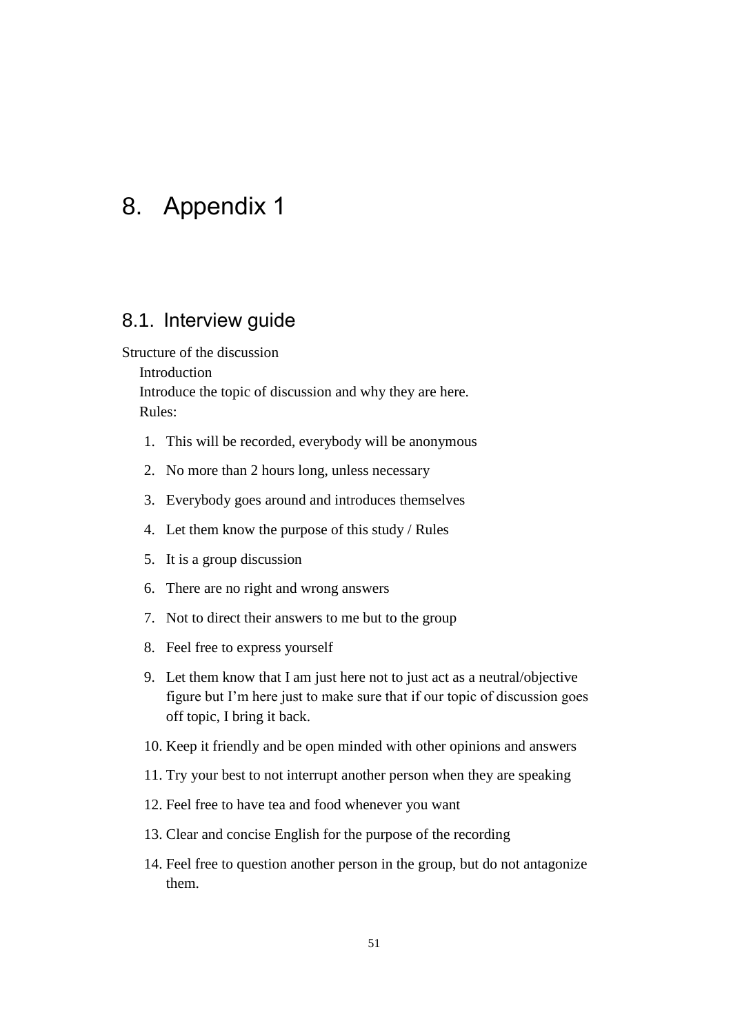## <span id="page-50-0"></span>8. Appendix 1

## <span id="page-50-1"></span>8.1. Interview guide

Structure of the discussion

Introduction

Introduce the topic of discussion and why they are here. Rules:

- 1. This will be recorded, everybody will be anonymous
- 2. No more than 2 hours long, unless necessary
- 3. Everybody goes around and introduces themselves
- 4. Let them know the purpose of this study / Rules
- 5. It is a group discussion
- 6. There are no right and wrong answers
- 7. Not to direct their answers to me but to the group
- 8. Feel free to express yourself
- 9. Let them know that I am just here not to just act as a neutral/objective figure but I'm here just to make sure that if our topic of discussion goes off topic, I bring it back.
- 10. Keep it friendly and be open minded with other opinions and answers
- 11. Try your best to not interrupt another person when they are speaking
- 12. Feel free to have tea and food whenever you want
- 13. Clear and concise English for the purpose of the recording
- 14. Feel free to question another person in the group, but do not antagonize them.